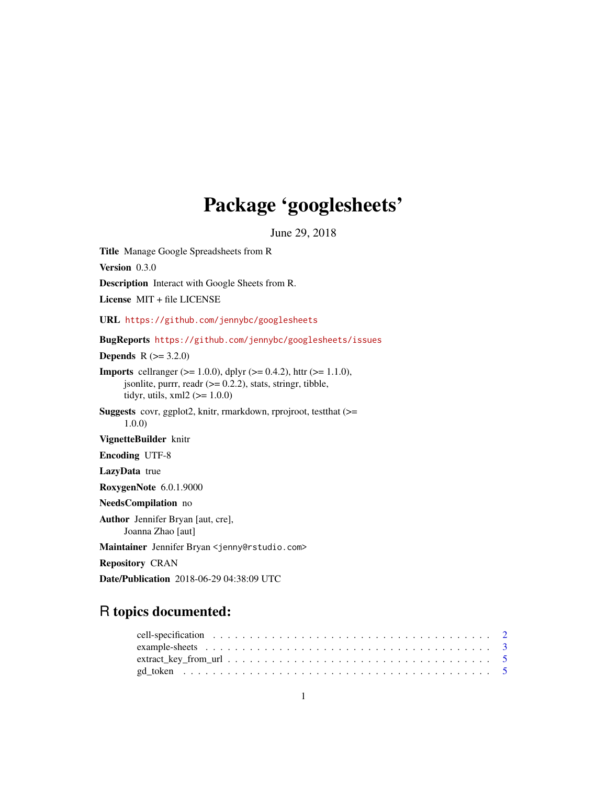# Package 'googlesheets'

June 29, 2018

<span id="page-0-0"></span>Title Manage Google Spreadsheets from R Version 0.3.0 Description Interact with Google Sheets from R. License MIT + file LICENSE URL <https://github.com/jennybc/googlesheets> BugReports <https://github.com/jennybc/googlesheets/issues> **Depends** R  $(>= 3.2.0)$ **Imports** cellranger ( $>= 1.0.0$ ), dplyr ( $>= 0.4.2$ ), httr ( $>= 1.1.0$ ), jsonlite, purrr, readr  $(>= 0.2.2)$ , stats, stringr, tibble, tidyr, utils,  $xml2$  ( $>= 1.0.0$ ) Suggests covr, ggplot2, knitr, rmarkdown, rprojroot, testthat (>= 1.0.0) VignetteBuilder knitr Encoding UTF-8 LazyData true RoxygenNote 6.0.1.9000 NeedsCompilation no Author Jennifer Bryan [aut, cre], Joanna Zhao [aut] Maintainer Jennifer Bryan <jenny@rstudio.com> Repository CRAN Date/Publication 2018-06-29 04:38:09 UTC

# R topics documented: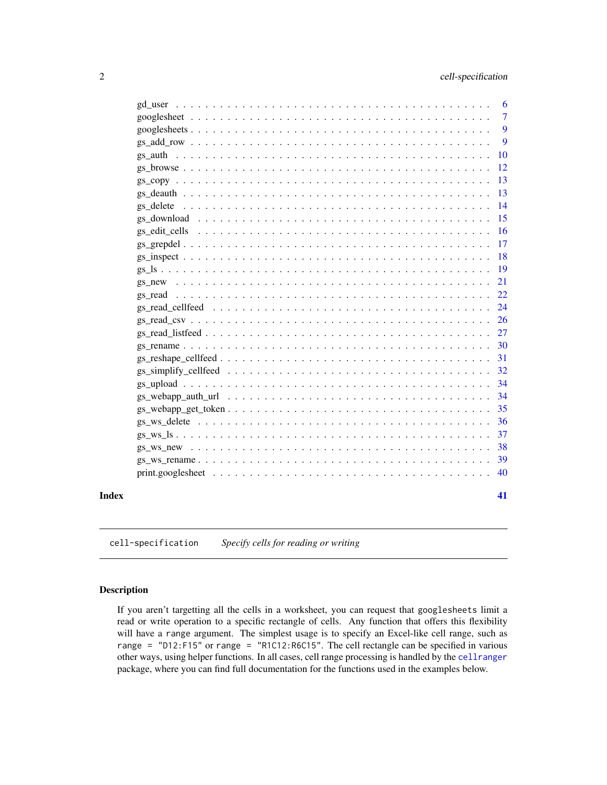<span id="page-1-0"></span>

|       |                                                                                                               | 6             |
|-------|---------------------------------------------------------------------------------------------------------------|---------------|
|       |                                                                                                               | 7             |
|       |                                                                                                               | 9             |
|       |                                                                                                               | 9             |
|       |                                                                                                               | 10            |
|       |                                                                                                               | <sup>12</sup> |
|       |                                                                                                               | 13            |
|       |                                                                                                               | 13            |
|       |                                                                                                               | 14            |
|       |                                                                                                               | 15            |
|       |                                                                                                               | -16           |
|       |                                                                                                               | 17            |
|       |                                                                                                               | <b>18</b>     |
|       |                                                                                                               | <sup>19</sup> |
|       |                                                                                                               | 21            |
|       |                                                                                                               |               |
|       | gs read cellfeed $\ldots \ldots \ldots \ldots \ldots \ldots \ldots \ldots \ldots \ldots \ldots \ldots \ldots$ | 24            |
|       |                                                                                                               |               |
|       |                                                                                                               |               |
|       |                                                                                                               | 30            |
|       |                                                                                                               |               |
|       |                                                                                                               |               |
|       |                                                                                                               | 34            |
|       |                                                                                                               | 34            |
|       |                                                                                                               | 35            |
|       |                                                                                                               | 36            |
|       |                                                                                                               | 37            |
|       |                                                                                                               | 38            |
|       |                                                                                                               |               |
|       |                                                                                                               | 40            |
|       |                                                                                                               |               |
| Index |                                                                                                               | 41            |
|       |                                                                                                               |               |

<span id="page-1-2"></span>cell-specification *Specify cells for reading or writing*

# <span id="page-1-1"></span>Description

If you aren't targetting all the cells in a worksheet, you can request that googlesheets limit a read or write operation to a specific rectangle of cells. Any function that offers this flexibility will have a range argument. The simplest usage is to specify an Excel-like cell range, such as range = "D12:F15" or range = "R1C12:R6C15". The cell rectangle can be specified in various other ways, using helper functions. In all cases, cell range processing is handled by the [cellranger](#page-0-0) package, where you can find full documentation for the functions used in the examples below.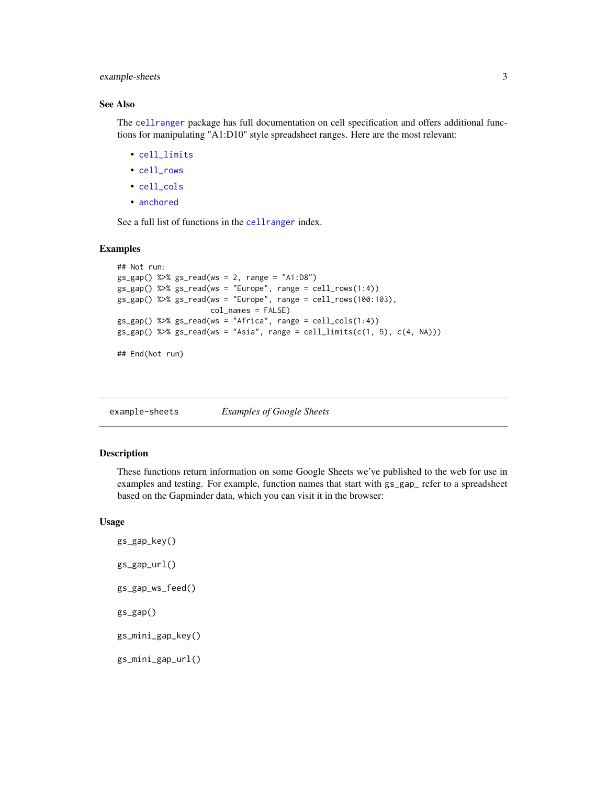# <span id="page-2-0"></span>example-sheets 3

# See Also

The [cellranger](#page-0-0) package has full documentation on cell specification and offers additional functions for manipulating "A1:D10" style spreadsheet ranges. Here are the most relevant:

- [cell\\_limits](#page-1-1)
- [cell\\_rows](#page-1-1)
- [cell\\_cols](#page-1-1)
- [anchored](#page-1-1)

See a full list of functions in the [cellranger](#page-0-0) index.

#### Examples

```
## Not run:
gs_gap() %>% gs_read(ws = 2, range = "A1:D8")gs_gap() %>% gs_read(ws = "Europe", range = cell_rows(1:4))
gs_gap() %>% gs_read(ws = "Europe", range = cell_rows(100:103),
                     col_names = FALSE)
gs_gap() %>% gs_read(ws = "Africa", range = cell_cols(1:4))
gs\_gap() %>% gs\_read(ws = "Asia", range = cell\_limits(c(1, 5), c(4, NA)))## End(Not run)
```
example-sheets *Examples of Google Sheets*

# Description

These functions return information on some Google Sheets we've published to the web for use in examples and testing. For example, function names that start with gs\_gap\_ refer to a spreadsheet based on the Gapminder data, which you can visit it in the browser:

#### Usage

```
gs_gap_key()
gs_gap_url()
gs_gap_ws_feed()
gs_gap()
gs_mini_gap_key()
gs_mini_gap_url()
```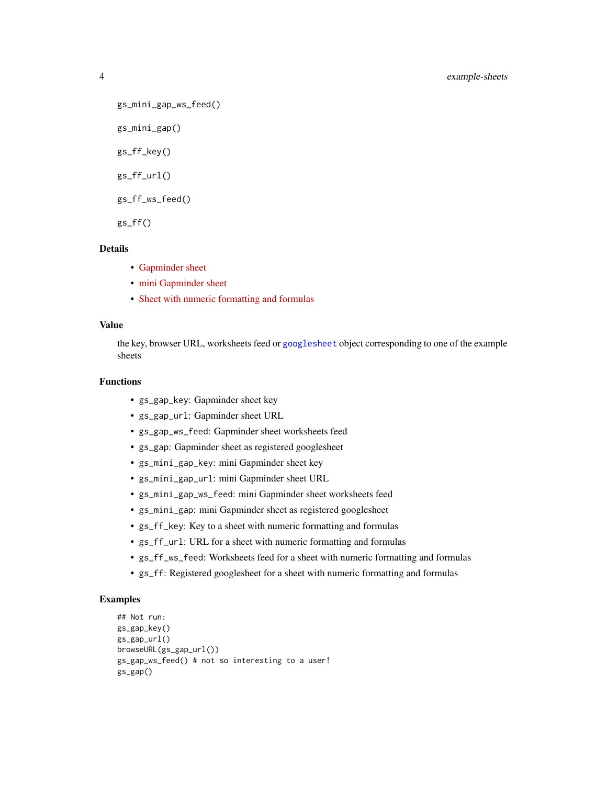```
gs_mini_gap_ws_feed()
gs_mini_gap()
gs_ff_key()
gs_ff_url()
gs_ff_ws_feed()
gs_ff()
```
#### Details

- [Gapminder sheet](https://w3id.org/people/jennybc/googlesheets_gap_url)
- [mini Gapminder sheet](https://w3id.org/people/jennybc/googlesheets_mini_gap_url)
- [Sheet with numeric formatting and formulas](https://w3id.org/people/jennybc/googlesheets_ff_url)

#### Value

the key, browser URL, worksheets feed or [googlesheet](#page-6-1) object corresponding to one of the example sheets

# Functions

- gs\_gap\_key: Gapminder sheet key
- gs\_gap\_url: Gapminder sheet URL
- gs\_gap\_ws\_feed: Gapminder sheet worksheets feed
- gs\_gap: Gapminder sheet as registered googlesheet
- gs\_mini\_gap\_key: mini Gapminder sheet key
- gs\_mini\_gap\_url: mini Gapminder sheet URL
- gs\_mini\_gap\_ws\_feed: mini Gapminder sheet worksheets feed
- gs\_mini\_gap: mini Gapminder sheet as registered googlesheet
- gs\_ff\_key: Key to a sheet with numeric formatting and formulas
- gs\_ff\_url: URL for a sheet with numeric formatting and formulas
- gs\_ff\_ws\_feed: Worksheets feed for a sheet with numeric formatting and formulas
- gs\_ff: Registered googlesheet for a sheet with numeric formatting and formulas

#### Examples

```
## Not run:
gs_gap_key()
gs_gap_url()
browseURL(gs_gap_url())
gs_gap_ws_feed() # not so interesting to a user!
gs_gap()
```
<span id="page-3-0"></span>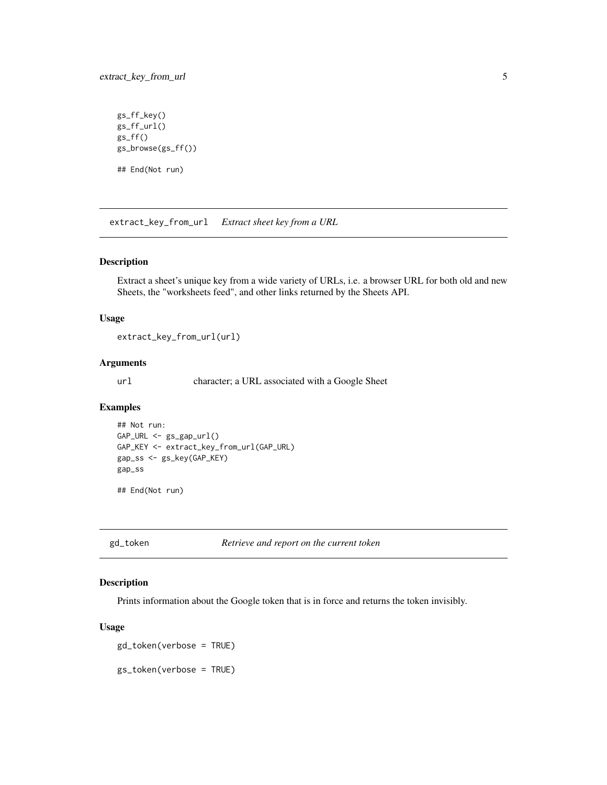# <span id="page-4-0"></span>extract\_key\_from\_url 5

```
gs_ff_key()
gs_ff_url()
gs_fff()gs_browse(gs_ff())
## End(Not run)
```
extract\_key\_from\_url *Extract sheet key from a URL*

# Description

Extract a sheet's unique key from a wide variety of URLs, i.e. a browser URL for both old and new Sheets, the "worksheets feed", and other links returned by the Sheets API.

#### Usage

extract\_key\_from\_url(url)

# Arguments

url character; a URL associated with a Google Sheet

#### Examples

```
## Not run:
GAP_URL <- gs_gap_url()
GAP_KEY <- extract_key_from_url(GAP_URL)
gap_ss <- gs_key(GAP_KEY)
gap_ss
```
## End(Not run)

gd\_token *Retrieve and report on the current token*

# Description

Prints information about the Google token that is in force and returns the token invisibly.

#### Usage

gd\_token(verbose = TRUE)

gs\_token(verbose = TRUE)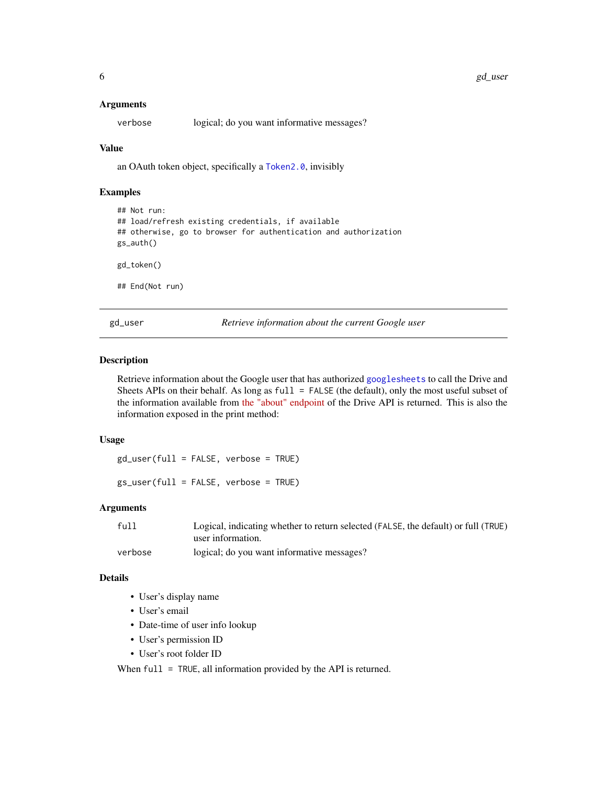#### <span id="page-5-0"></span>Arguments

verbose logical; do you want informative messages?

#### Value

an OAuth token object, specifically a [Token2.0](#page-0-0), invisibly

# Examples

```
## Not run:
## load/refresh existing credentials, if available
## otherwise, go to browser for authentication and authorization
gs_auth()
gd_token()
## End(Not run)
```
<span id="page-5-1"></span>gd\_user *Retrieve information about the current Google user*

## **Description**

Retrieve information about the Google user that has authorized [googlesheets](#page-8-1) to call the Drive and Sheets APIs on their behalf. As long as full = FALSE (the default), only the most useful subset of the information available from [the "about" endpoint](https://developers.google.com/drive/v2/reference/about/get) of the Drive API is returned. This is also the information exposed in the print method:

#### Usage

gd\_user(full = FALSE, verbose = TRUE)

gs\_user(full = FALSE, verbose = TRUE)

# Arguments

| full    | Logical, indicating whether to return selected (FALSE, the default) or full (TRUE) |
|---------|------------------------------------------------------------------------------------|
|         | user information.                                                                  |
| verbose | logical; do you want informative messages?                                         |

#### Details

- User's display name
- User's email
- Date-time of user info lookup
- User's permission ID
- User's root folder ID

When full = TRUE, all information provided by the API is returned.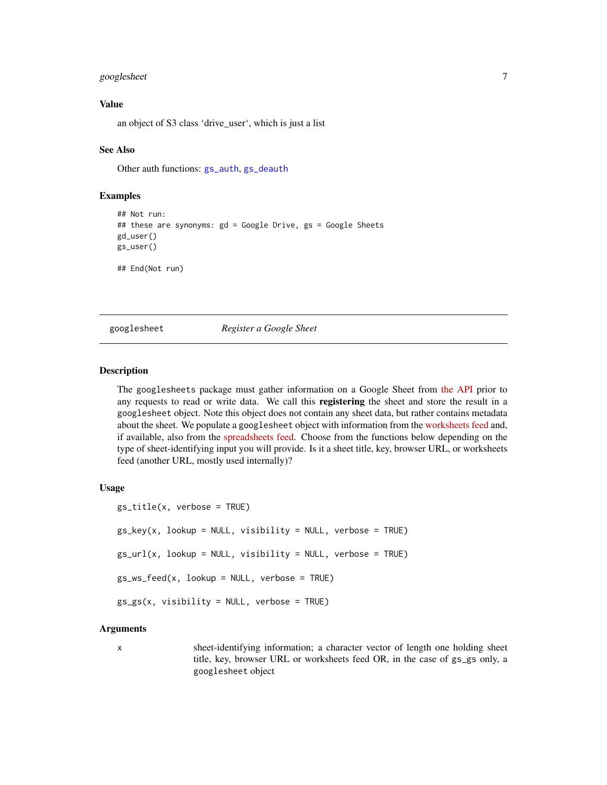# <span id="page-6-0"></span>googlesheet 7

# Value

an object of S3 class 'drive\_user', which is just a list

#### See Also

Other auth functions: [gs\\_auth](#page-9-1), [gs\\_deauth](#page-12-1)

#### Examples

```
## Not run:
## these are synonyms: gd = Google Drive, gs = Google Sheets
gd_user()
gs_user()
## End(Not run)
```
<span id="page-6-1"></span>googlesheet *Register a Google Sheet*

### <span id="page-6-2"></span>**Description**

The googlesheets package must gather information on a Google Sheet from [the API](https://developers.google.com/google-apps/spreadsheets/) prior to any requests to read or write data. We call this registering the sheet and store the result in a googlesheet object. Note this object does not contain any sheet data, but rather contains metadata about the sheet. We populate a googlesheet object with information from the [worksheets feed](https://developers.google.com/google-apps/spreadsheets/worksheets) and, if available, also from the [spreadsheets feed.](https://developers.google.com/google-apps/spreadsheets/worksheets#retrieve_a_list_of_spreadsheets) Choose from the functions below depending on the type of sheet-identifying input you will provide. Is it a sheet title, key, browser URL, or worksheets feed (another URL, mostly used internally)?

# Usage

```
gs_title(x, verbose = TRUE)
gs_{key}(x, lookup = NULL, visibility = NULL, verbose = TRUE)gs\_url(x, lookup = NULL, visibility = NULL, verbose = TRUE)gs_ws_feed(x, lookup = NULL, verbose = TRUE)
gs_gs(x, visibleility = NULL, verbose = TRUE)
```
#### Arguments

x sheet-identifying information; a character vector of length one holding sheet title, key, browser URL or worksheets feed OR, in the case of gs\_gs only, a googlesheet object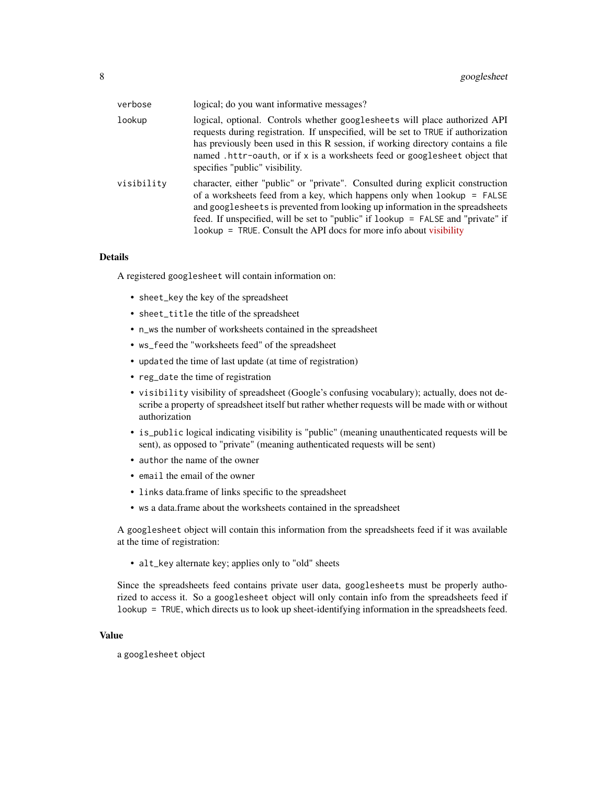| verbose    | logical; do you want informative messages?                                                                                                                                                                                                                                                                                                                                                                 |
|------------|------------------------------------------------------------------------------------------------------------------------------------------------------------------------------------------------------------------------------------------------------------------------------------------------------------------------------------------------------------------------------------------------------------|
| lookup     | logical, optional. Controls whether googlesheets will place authorized API<br>requests during registration. If unspecified, will be set to TRUE if authorization<br>has previously been used in this R session, if working directory contains a file<br>named .httr-oauth, or if x is a worksheets feed or googlesheet object that<br>specifies "public" visibility.                                       |
| visibility | character, either "public" or "private". Consulted during explicit construction<br>of a worksheets feed from a key, which happens only when $lookup = FALSE$<br>and googlesheets is prevented from looking up information in the spreadsheets<br>feed. If unspecified, will be set to "public" if lookup = FALSE and "private" if<br>$1$ ookup = TRUE. Consult the API docs for more info about visibility |

#### Details

A registered googlesheet will contain information on:

- sheet\_key the key of the spreadsheet
- sheet\_title the title of the spreadsheet
- n\_ws the number of worksheets contained in the spreadsheet
- ws\_feed the "worksheets feed" of the spreadsheet
- updated the time of last update (at time of registration)
- reg\_date the time of registration
- visibility visibility of spreadsheet (Google's confusing vocabulary); actually, does not describe a property of spreadsheet itself but rather whether requests will be made with or without authorization
- is\_public logical indicating visibility is "public" (meaning unauthenticated requests will be sent), as opposed to "private" (meaning authenticated requests will be sent)
- author the name of the owner
- email the email of the owner
- links data.frame of links specific to the spreadsheet
- ws a data.frame about the worksheets contained in the spreadsheet

A googlesheet object will contain this information from the spreadsheets feed if it was available at the time of registration:

• alt\_key alternate key; applies only to "old" sheets

Since the spreadsheets feed contains private user data, googlesheets must be properly authorized to access it. So a googlesheet object will only contain info from the spreadsheets feed if lookup = TRUE, which directs us to look up sheet-identifying information in the spreadsheets feed.

#### Value

a googlesheet object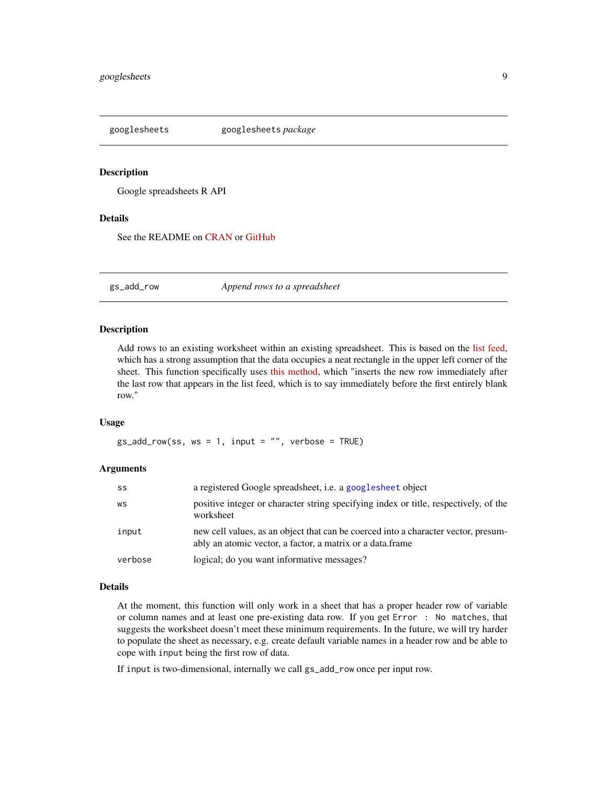<span id="page-8-1"></span><span id="page-8-0"></span>

#### Description

Google spreadsheets R API

# Details

See the README on [CRAN](https://cran.r-project.org/package=googlesheets/README.html) or [GitHub](https://github.com/jennybc/googlesheets#readme)

<span id="page-8-2"></span>gs\_add\_row *Append rows to a spreadsheet*

#### Description

Add rows to an existing worksheet within an existing spreadsheet. This is based on the [list feed,](https://developers.google.com/google-apps/spreadsheets/#working_with_list-based_feeds) which has a strong assumption that the data occupies a neat rectangle in the upper left corner of the sheet. This function specifically uses [this method,](https://developers.google.com/google-apps/spreadsheets/#adding_a_list_row) which "inserts the new row immediately after the last row that appears in the list feed, which is to say immediately before the first entirely blank row."

#### Usage

 $gs\_add\_row(ss, ws = 1, input = '''', verbose = TRUE)$ 

# Arguments

| SS      | a registered Google spreadsheet, <i>i.e.</i> a googlesheet object                                                                               |
|---------|-------------------------------------------------------------------------------------------------------------------------------------------------|
| WS      | positive integer or character string specifying index or title, respectively, of the<br>worksheet                                               |
| input   | new cell values, as an object that can be coerced into a character vector, presum-<br>ably an atomic vector, a factor, a matrix or a data frame |
| verbose | logical; do you want informative messages?                                                                                                      |

#### Details

At the moment, this function will only work in a sheet that has a proper header row of variable or column names and at least one pre-existing data row. If you get Error : No matches, that suggests the worksheet doesn't meet these minimum requirements. In the future, we will try harder to populate the sheet as necessary, e.g. create default variable names in a header row and be able to cope with input being the first row of data.

If input is two-dimensional, internally we call gs\_add\_row once per input row.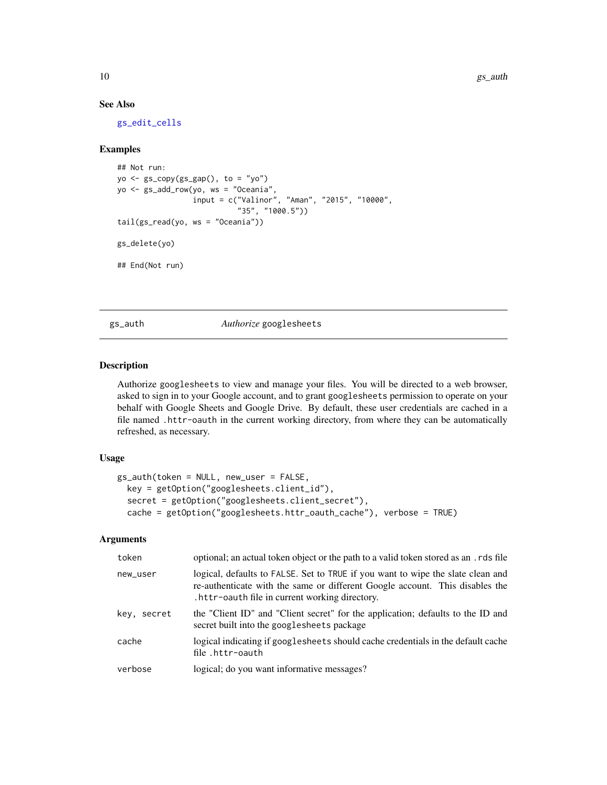# See Also

[gs\\_edit\\_cells](#page-15-1)

#### Examples

```
## Not run:
yo <- gs_copy(gs_gap(), to = "yo")
yo <- gs_add_row(yo, ws = "Oceania",
                 input = c("Valinor", "Aman", "2015", "10000",
                           "35", "1000.5"))
tail(gs_read(yo, ws = "Oceania"))
gs_delete(yo)
## End(Not run)
```
<span id="page-9-1"></span>gs\_auth *Authorize* googlesheets

# Description

Authorize googlesheets to view and manage your files. You will be directed to a web browser, asked to sign in to your Google account, and to grant googlesheets permission to operate on your behalf with Google Sheets and Google Drive. By default, these user credentials are cached in a file named .httr-oauth in the current working directory, from where they can be automatically refreshed, as necessary.

# Usage

```
gs_auth(token = NULL, new_user = FALSE,
 key = getOption("googlesheets.client_id"),
  secret = getOption("googlesheets.client_secret"),
  cache = getOption("googlesheets.httr_oauth_cache"), verbose = TRUE)
```
# Arguments

| token       | optional; an actual token object or the path to a valid token stored as an . rds file                                                                                                                             |
|-------------|-------------------------------------------------------------------------------------------------------------------------------------------------------------------------------------------------------------------|
| new_user    | logical, defaults to FALSE. Set to TRUE if you want to wipe the slate clean and<br>re-authenticate with the same or different Google account. This disables the<br>.httr-oauth file in current working directory. |
| key, secret | the "Client ID" and "Client secret" for the application; defaults to the ID and<br>secret built into the googlesheets package                                                                                     |
| cache       | logical indicating if googlesheets should cache credentials in the default cache<br>file.httr-oauth                                                                                                               |
| verbose     | logical; do you want informative messages?                                                                                                                                                                        |

<span id="page-9-0"></span>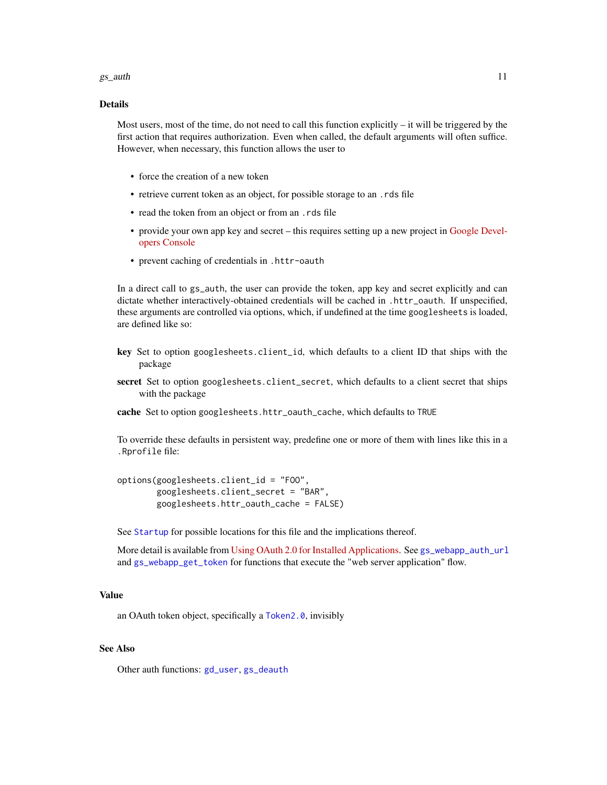#### <span id="page-10-0"></span> $gs_$  auth  $11$

# Details

Most users, most of the time, do not need to call this function explicitly  $-$  it will be triggered by the first action that requires authorization. Even when called, the default arguments will often suffice. However, when necessary, this function allows the user to

- force the creation of a new token
- retrieve current token as an object, for possible storage to an .rds file
- read the token from an object or from an .rds file
- provide your own app key and secret this requires setting up a new project in [Google Devel](https://console.developers.google.com)[opers Console](https://console.developers.google.com)
- prevent caching of credentials in .httr-oauth

In a direct call to gs\_auth, the user can provide the token, app key and secret explicitly and can dictate whether interactively-obtained credentials will be cached in .httr\_oauth. If unspecified, these arguments are controlled via options, which, if undefined at the time googlesheets is loaded, are defined like so:

- key Set to option googlesheets.client\_id, which defaults to a client ID that ships with the package
- secret Set to option googlesheets.client\_secret, which defaults to a client secret that ships with the package
- cache Set to option googlesheets.httr\_oauth\_cache, which defaults to TRUE

To override these defaults in persistent way, predefine one or more of them with lines like this in a .Rprofile file:

options(googlesheets.client\_id = "FOO", googlesheets.client\_secret = "BAR", googlesheets.httr\_oauth\_cache = FALSE)

See [Startup](#page-0-0) for possible locations for this file and the implications thereof.

More detail is available from [Using OAuth 2.0 for Installed Applications.](https://developers.google.com/identity/protocols/OAuth2InstalledApp) See [gs\\_webapp\\_auth\\_url](#page-33-1) and [gs\\_webapp\\_get\\_token](#page-34-1) for functions that execute the "web server application" flow.

# Value

an OAuth token object, specifically a [Token2.0](#page-0-0), invisibly

#### See Also

Other auth functions: [gd\\_user](#page-5-1), [gs\\_deauth](#page-12-1)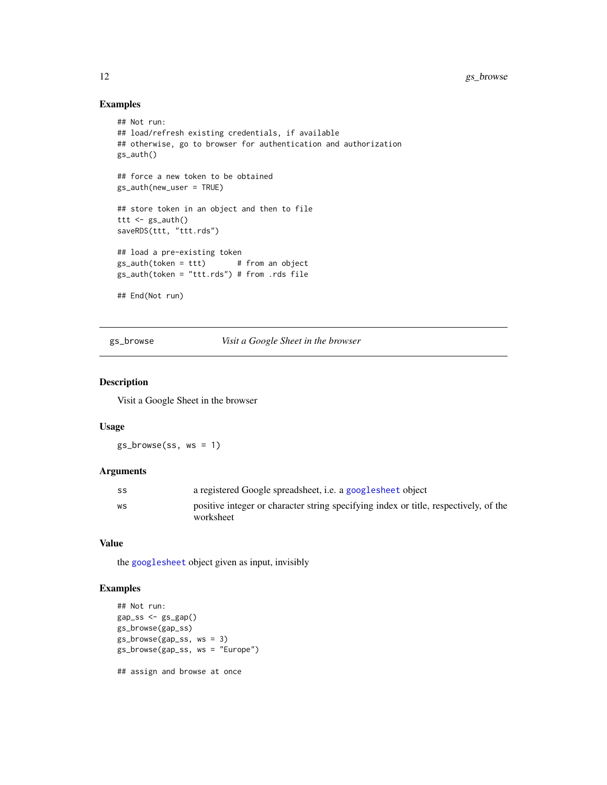# Examples

```
## Not run:
## load/refresh existing credentials, if available
## otherwise, go to browser for authentication and authorization
gs_auth()
## force a new token to be obtained
gs_auth(new_user = TRUE)
## store token in an object and then to file
ttt \leq gs_auth()
saveRDS(ttt, "ttt.rds")
## load a pre-existing token
gs_auth(token = ttt) # from an object
gs_auth(token = "ttt.rds") # from .rds file
## End(Not run)
```
gs\_browse *Visit a Google Sheet in the browser*

#### Description

Visit a Google Sheet in the browser

#### Usage

gs\_browse(ss, ws = 1)

# Arguments

| SS | a registered Google spreadsheet, <i>i.e.</i> a google sheet object                                |
|----|---------------------------------------------------------------------------------------------------|
| WS | positive integer or character string specifying index or title, respectively, of the<br>worksheet |

## Value

the [googlesheet](#page-6-1) object given as input, invisibly

# Examples

```
## Not run:
gap_s s \leftarrow gs_gap()gs_browse(gap_ss)
gs_browse(gap_ss, ws = 3)
gs_browse(gap_ss, ws = "Europe")
## assign and browse at once
```
<span id="page-11-0"></span>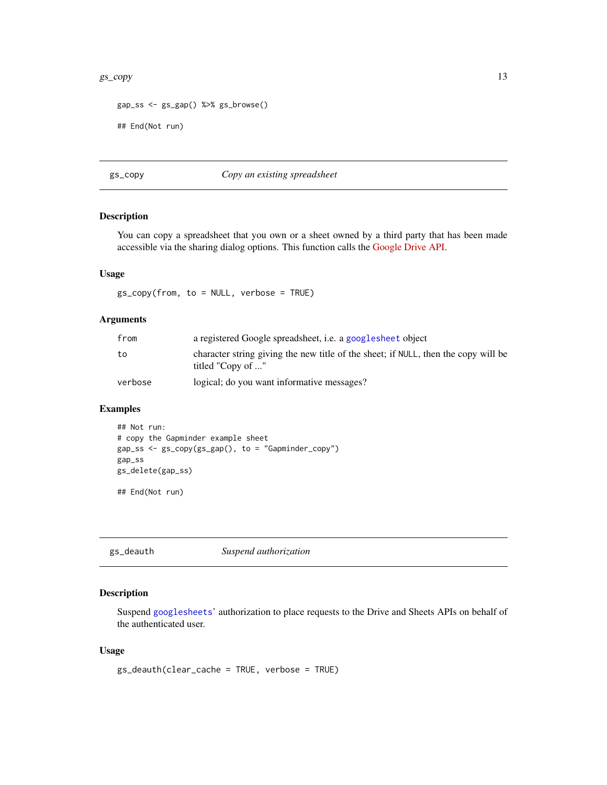#### <span id="page-12-0"></span> $gs\_copy$  13

```
gap_ss <- gs_gap() %>% gs_browse()
```
## End(Not run)

#### gs\_copy *Copy an existing spreadsheet*

#### Description

You can copy a spreadsheet that you own or a sheet owned by a third party that has been made accessible via the sharing dialog options. This function calls the [Google Drive API.](https://developers.google.com/drive/v2/reference/)

#### Usage

gs\_copy(from, to = NULL, verbose = TRUE)

#### Arguments

| from    | a registered Google spreadsheet, <i>i.e.</i> a google sheet object                                      |
|---------|---------------------------------------------------------------------------------------------------------|
| to      | character string giving the new title of the sheet; if NULL, then the copy will be<br>titled "Copy of " |
| verbose | logical; do you want informative messages?                                                              |

# Examples

```
## Not run:
# copy the Gapminder example sheet
gap_ss <- gs_copy(gs_gap(), to = "Gapminder_copy")
gap_ss
gs_delete(gap_ss)
```
## End(Not run)

<span id="page-12-1"></span>gs\_deauth *Suspend authorization*

# Description

Suspend [googlesheets](#page-8-1)' authorization to place requests to the Drive and Sheets APIs on behalf of the authenticated user.

#### Usage

```
gs_deauth(clear_cache = TRUE, verbose = TRUE)
```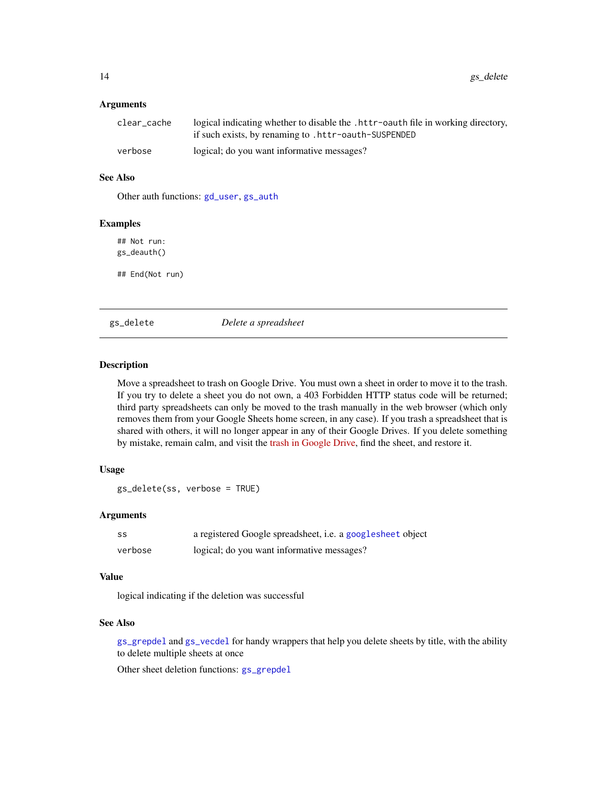#### Arguments

| clear cache | logical indicating whether to disable the . httr-oauth file in working directory,<br>if such exists, by renaming to .httr-oauth-SUSPENDED |
|-------------|-------------------------------------------------------------------------------------------------------------------------------------------|
| verbose     | logical; do you want informative messages?                                                                                                |

#### See Also

Other auth functions: [gd\\_user](#page-5-1), [gs\\_auth](#page-9-1)

# Examples

## Not run: gs\_deauth()

## End(Not run)

<span id="page-13-1"></span>gs\_delete *Delete a spreadsheet*

# Description

Move a spreadsheet to trash on Google Drive. You must own a sheet in order to move it to the trash. If you try to delete a sheet you do not own, a 403 Forbidden HTTP status code will be returned; third party spreadsheets can only be moved to the trash manually in the web browser (which only removes them from your Google Sheets home screen, in any case). If you trash a spreadsheet that is shared with others, it will no longer appear in any of their Google Drives. If you delete something by mistake, remain calm, and visit the [trash in Google Drive,](https://drive.google.com/drive/#trash) find the sheet, and restore it.

# Usage

```
gs_delete(ss, verbose = TRUE)
```
#### Arguments

| SS      | a registered Google spreadsheet, i.e. a googlesheet object |
|---------|------------------------------------------------------------|
| verbose | logical; do you want informative messages?                 |

#### Value

logical indicating if the deletion was successful

#### See Also

[gs\\_grepdel](#page-16-1) and [gs\\_vecdel](#page-16-2) for handy wrappers that help you delete sheets by title, with the ability to delete multiple sheets at once

Other sheet deletion functions: [gs\\_grepdel](#page-16-1)

<span id="page-13-0"></span>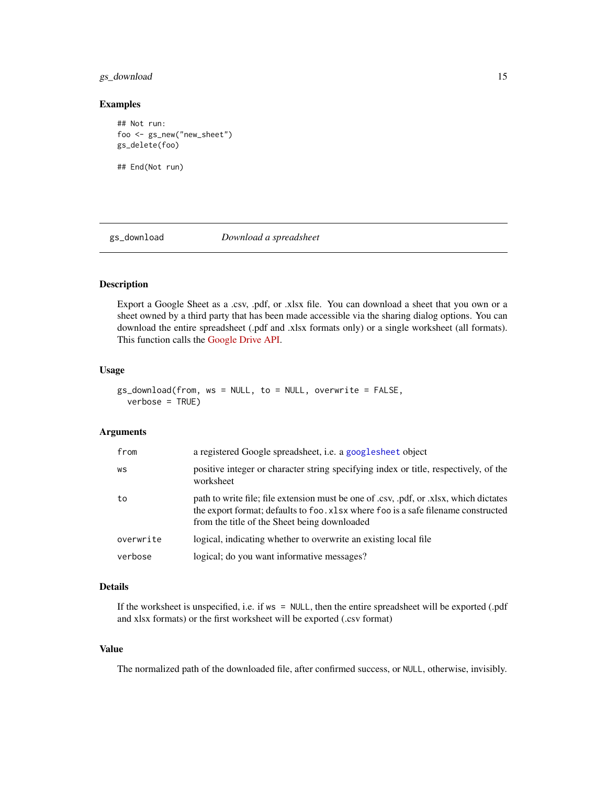# <span id="page-14-0"></span>gs\_download 15

#### Examples

```
## Not run:
foo <- gs_new("new_sheet")
gs_delete(foo)
```
## End(Not run)

#### gs\_download *Download a spreadsheet*

# Description

Export a Google Sheet as a .csv, .pdf, or .xlsx file. You can download a sheet that you own or a sheet owned by a third party that has been made accessible via the sharing dialog options. You can download the entire spreadsheet (.pdf and .xlsx formats only) or a single worksheet (all formats). This function calls the [Google Drive API.](https://developers.google.com/drive/v2/reference/)

#### Usage

```
gs_download(from, ws = NULL, to = NULL, overwrite = FALSE,
  verbose = TRUE)
```
# Arguments

| positive integer or character string specifying index or title, respectively, of the<br>WS<br>worksheet                                                                                                                           |  |
|-----------------------------------------------------------------------------------------------------------------------------------------------------------------------------------------------------------------------------------|--|
| path to write file; file extension must be one of .csv, .pdf, or .xlsx, which dictates<br>to<br>the export format; defaults to foo. xlsx where foo is a safe filename constructed<br>from the title of the Sheet being downloaded |  |
| logical, indicating whether to overwrite an existing local file<br>overwrite                                                                                                                                                      |  |
| logical; do you want informative messages?<br>verbose                                                                                                                                                                             |  |

# Details

If the worksheet is unspecified, i.e. if ws = NULL, then the entire spreadsheet will be exported (.pdf and xlsx formats) or the first worksheet will be exported (.csv format)

#### Value

The normalized path of the downloaded file, after confirmed success, or NULL, otherwise, invisibly.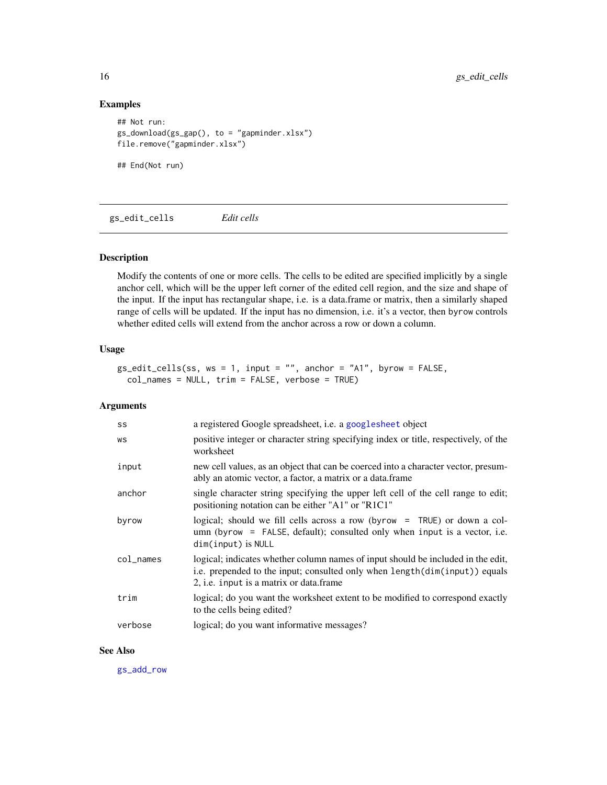# Examples

```
## Not run:
gs_download(gs_gap(), to = "gapminder.xlsx")
file.remove("gapminder.xlsx")
```
## End(Not run)

<span id="page-15-1"></span>gs\_edit\_cells *Edit cells*

# Description

Modify the contents of one or more cells. The cells to be edited are specified implicitly by a single anchor cell, which will be the upper left corner of the edited cell region, and the size and shape of the input. If the input has rectangular shape, i.e. is a data.frame or matrix, then a similarly shaped range of cells will be updated. If the input has no dimension, i.e. it's a vector, then byrow controls whether edited cells will extend from the anchor across a row or down a column.

# Usage

```
gs\_edit\_cells(ss, ws = 1, input = "", anchor = "A1", byrow = FALSE,col_names = NULL, trim = FALSE, verbose = TRUE)
```
#### Arguments

| SS                                   | a registered Google spreadsheet, i.e. a googlesheet object                                                                                                                                                       |
|--------------------------------------|------------------------------------------------------------------------------------------------------------------------------------------------------------------------------------------------------------------|
| WS                                   | positive integer or character string specifying index or title, respectively, of the<br>worksheet                                                                                                                |
| input                                | new cell values, as an object that can be coerced into a character vector, presum-<br>ably an atomic vector, a factor, a matrix or a data.frame                                                                  |
| anchor                               | single character string specifying the upper left cell of the cell range to edit;<br>positioning notation can be either "A1" or "R1C1"                                                                           |
| byrow                                | logical; should we fill cells across a row (byrow = TRUE) or down a col-<br>$umn$ (byrow = FALSE, default); consulted only when input is a vector, i.e.<br>dim(input) is NULL                                    |
| $col$ <sub><math>-</math>names</sub> | logical; indicates whether column names of input should be included in the edit,<br>i.e. prepended to the input; consulted only when length(dim(input)) equals<br>2, <i>i.e.</i> input is a matrix or data.frame |
| trim                                 | logical; do you want the worksheet extent to be modified to correspond exactly<br>to the cells being edited?                                                                                                     |
| verbose                              | logical; do you want informative messages?                                                                                                                                                                       |

#### See Also

[gs\\_add\\_row](#page-8-2)

<span id="page-15-0"></span>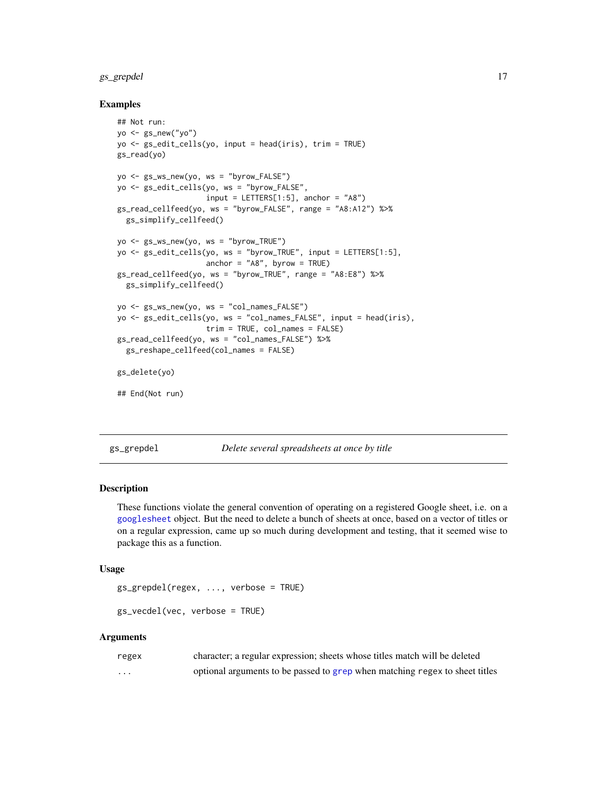# <span id="page-16-0"></span>gs\_grepdel 17

#### Examples

```
## Not run:
yo \leftarrow gs_new("yo")yo <- gs_edit_cells(yo, input = head(iris), trim = TRUE)
gs_read(yo)
yo <- gs_ws_new(yo, ws = "byrow_FALSE")
yo <- gs_edit_cells(yo, ws = "byrow_FALSE",
                    input = LETTERS[1:5], anchor = "A8")gs_read_cellfeed(yo, ws = "byrow_FALSE", range = "A8:A12") %>%
  gs_simplify_cellfeed()
yo <- gs_ws_new(yo, ws = "byrow_TRUE")
yo <- gs_edit_cells(yo, ws = "byrow_TRUE", input = LETTERS[1:5],
                    anchor = "A8", byrow = TRUE)gs_read_cellfeed(yo, ws = "byrow_TRUE", range = "A8:E8") %>%
  gs_simplify_cellfeed()
yo <- gs_ws_new(yo, ws = "col_names_FALSE")
yo <- gs_edit_cells(yo, ws = "col_names_FALSE", input = head(iris),
                    trim = TRUE, col_names = FALSE)
gs_read_cellfeed(yo, ws = "col_names_FALSE") %>%
  gs_reshape_cellfeed(col_names = FALSE)
gs_delete(yo)
## End(Not run)
```
<span id="page-16-1"></span>gs\_grepdel *Delete several spreadsheets at once by title*

#### <span id="page-16-2"></span>Description

These functions violate the general convention of operating on a registered Google sheet, i.e. on a [googlesheet](#page-6-1) object. But the need to delete a bunch of sheets at once, based on a vector of titles or on a regular expression, came up so much during development and testing, that it seemed wise to package this as a function.

#### Usage

```
gs_grepdel(regex, ..., verbose = TRUE)
```

```
gs_vecdel(vec, verbose = TRUE)
```
#### Arguments

| regex    | character; a regular expression; sheets whose titles match will be deleted  |
|----------|-----------------------------------------------------------------------------|
| $\cdots$ | optional arguments to be passed to grep when matching regex to sheet titles |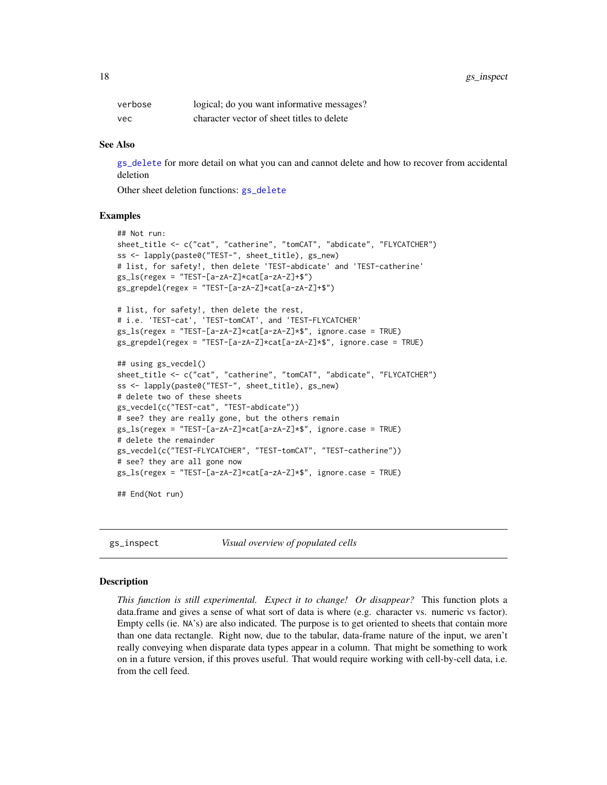<span id="page-17-0"></span>

| verbose | logical; do you want informative messages? |
|---------|--------------------------------------------|
| vec     | character vector of sheet titles to delete |

#### See Also

[gs\\_delete](#page-13-1) for more detail on what you can and cannot delete and how to recover from accidental deletion

Other sheet deletion functions: [gs\\_delete](#page-13-1)

#### Examples

```
## Not run:
sheet_title <- c("cat", "catherine", "tomCAT", "abdicate", "FLYCATCHER")
ss <- lapply(paste0("TEST-", sheet_title), gs_new)
# list, for safety!, then delete 'TEST-abdicate' and 'TEST-catherine'
gs_ls(resex = "TEST-[a-zA-Z]*cat[a-zA-Z]+$")gs_grepdel(regex = "TEST-[a-zA-Z]*cat[a-zA-Z]+$")
# list, for safety!, then delete the rest,
# i.e. 'TEST-cat', 'TEST-tomCAT', and 'TEST-FLYCATCHER'
gs_ls(regex = "TEST-[a-zA-Z]*cat[a-zA-Z]*$", ignore.case = TRUE)
gs_grepdel(regex = "TEST-[a-zA-Z]*cat[a-zA-Z]*$", ignore.case = TRUE)
## using gs_vecdel()
sheet_title <- c("cat", "catherine", "tomCAT", "abdicate", "FLYCATCHER")
ss <- lapply(paste0("TEST-", sheet_title), gs_new)
# delete two of these sheets
gs_vecdel(c("TEST-cat", "TEST-abdicate"))
# see? they are really gone, but the others remain
gs_ls(regex = "TEST-[a-zA-Z]*cat[a-zA-Z]*$", ignore.case = TRUE)
# delete the remainder
gs_vecdel(c("TEST-FLYCATCHER", "TEST-tomCAT", "TEST-catherine"))
# see? they are all gone now
gs_ls(regex = "TEST-[a-zA-Z]*cat[a-zA-Z]*$", ignore.case = TRUE)
## End(Not run)
```
gs\_inspect *Visual overview of populated cells*

#### **Description**

*This function is still experimental. Expect it to change! Or disappear?* This function plots a data.frame and gives a sense of what sort of data is where (e.g. character vs. numeric vs factor). Empty cells (ie. NA's) are also indicated. The purpose is to get oriented to sheets that contain more than one data rectangle. Right now, due to the tabular, data-frame nature of the input, we aren't really conveying when disparate data types appear in a column. That might be something to work on in a future version, if this proves useful. That would require working with cell-by-cell data, i.e. from the cell feed.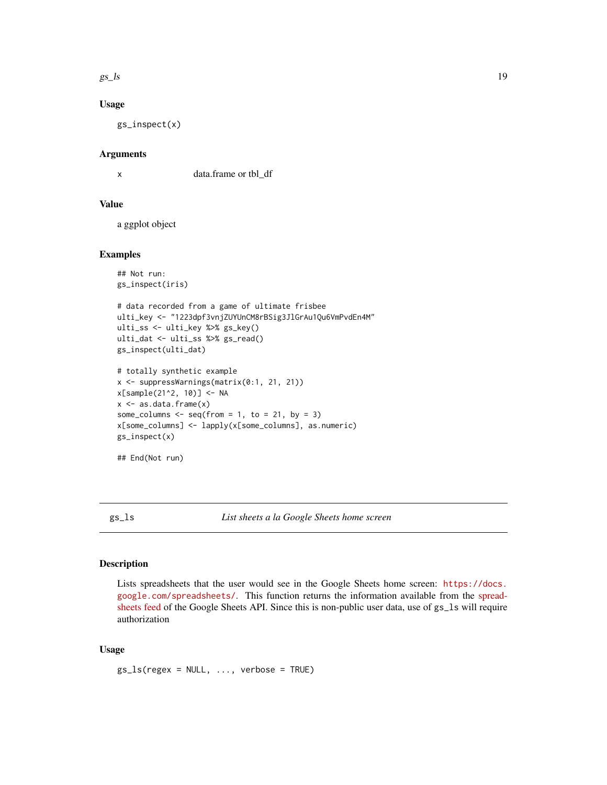<span id="page-18-0"></span> $gs\_{ls}$  19

# Usage

gs\_inspect(x)

#### Arguments

x data.frame or tbl\_df

#### Value

a ggplot object

#### Examples

```
## Not run:
gs_inspect(iris)
# data recorded from a game of ultimate frisbee
ulti_key <- "1223dpf3vnjZUYUnCM8rBSig3JlGrAu1Qu6VmPvdEn4M"
ulti_ss <- ulti_key %>% gs_key()
ulti_dat <- ulti_ss %>% gs_read()
gs_inspect(ulti_dat)
# totally synthetic example
x <- suppressWarnings(matrix(0:1, 21, 21))
x[sample(21^2, 10)] <- NA
x \leftarrow as.data-frame(x)some_columns \leq seq(from = 1, to = 21, by = 3)
x[some_columns] <- lapply(x[some_columns], as.numeric)
gs_inspect(x)
```

```
## End(Not run)
```
gs\_ls *List sheets a la Google Sheets home screen*

#### Description

Lists spreadsheets that the user would see in the Google Sheets home screen: [https://docs.](https://docs.google.com/spreadsheets/) [google.com/spreadsheets/](https://docs.google.com/spreadsheets/). This function returns the information available from the [spread](https://developers.google.com/google-apps/spreadsheets/#retrieving_a_list_of_spreadsheets)[sheets feed](https://developers.google.com/google-apps/spreadsheets/#retrieving_a_list_of_spreadsheets) of the Google Sheets API. Since this is non-public user data, use of gs\_ls will require authorization

# Usage

 $gs_ls(regex = NULL, ..., verbose = TRUE)$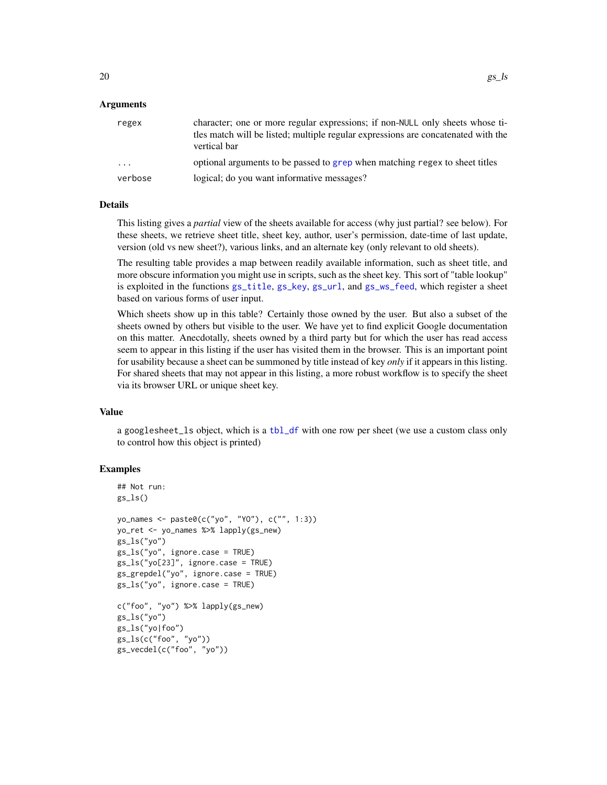### <span id="page-19-0"></span>Arguments

| regex                   | character; one or more regular expressions; if non-NULL only sheets whose ti-<br>tles match will be listed; multiple regular expressions are concatenated with the<br>vertical bar |
|-------------------------|------------------------------------------------------------------------------------------------------------------------------------------------------------------------------------|
| $\cdot$ $\cdot$ $\cdot$ | optional arguments to be passed to grep when matching regex to sheet titles                                                                                                        |
| verbose                 | logical; do you want informative messages?                                                                                                                                         |

#### Details

This listing gives a *partial* view of the sheets available for access (why just partial? see below). For these sheets, we retrieve sheet title, sheet key, author, user's permission, date-time of last update, version (old vs new sheet?), various links, and an alternate key (only relevant to old sheets).

The resulting table provides a map between readily available information, such as sheet title, and more obscure information you might use in scripts, such as the sheet key. This sort of "table lookup" is exploited in the functions [gs\\_title](#page-6-2), [gs\\_key](#page-6-2), [gs\\_url](#page-6-2), and [gs\\_ws\\_feed](#page-6-2), which register a sheet based on various forms of user input.

Which sheets show up in this table? Certainly those owned by the user. But also a subset of the sheets owned by others but visible to the user. We have yet to find explicit Google documentation on this matter. Anecdotally, sheets owned by a third party but for which the user has read access seem to appear in this listing if the user has visited them in the browser. This is an important point for usability because a sheet can be summoned by title instead of key *only* if it appears in this listing. For shared sheets that may not appear in this listing, a more robust workflow is to specify the sheet via its browser URL or unique sheet key.

#### Value

a googlesheet\_ls object, which is a [tbl\\_df](#page-0-0) with one row per sheet (we use a custom class only to control how this object is printed)

# **Examples**

```
## Not run:
gs_ls()yo_names <- paste0(c("yo", "YO"), c("", 1:3))
yo_ret <- yo_names %>% lapply(gs_new)
gs_ls("yo")
gs_ls("yo", ignore.case = TRUE)
gs_ls("yo[23]", ignore.case = TRUE)
gs_grepdel("yo", ignore.case = TRUE)
gs_ls("yo", ignore.case = TRUE)
c("foo", "yo") %>% lapply(gs_new)
gs_ls("yo")
gs_ls("yo|foo")
gs_ls(c("foo", "yo"))
gs_vecdel(c("foo", "yo"))
```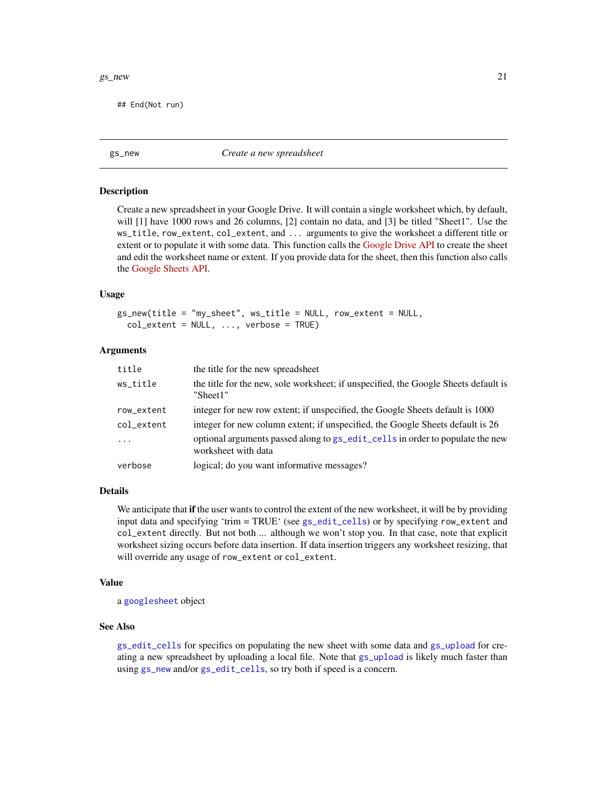#### <span id="page-20-0"></span> $gs\_new$  21

## End(Not run)

<span id="page-20-1"></span>gs\_new *Create a new spreadsheet*

#### Description

Create a new spreadsheet in your Google Drive. It will contain a single worksheet which, by default, will [1] have 1000 rows and 26 columns, [2] contain no data, and [3] be titled "Sheet1". Use the ws\_title, row\_extent, col\_extent, and ... arguments to give the worksheet a different title or extent or to populate it with some data. This function calls the [Google Drive API](https://developers.google.com/drive/v2/reference/) to create the sheet and edit the worksheet name or extent. If you provide data for the sheet, then this function also calls the [Google Sheets API.](https://developers.google.com/google-apps/spreadsheets/)

#### Usage

gs\_new(title = "my\_sheet", ws\_title = NULL, row\_extent = NULL,  $col\_extent = NULL, ..., verbose = TRUE)$ 

#### Arguments

| title      | the title for the new spreadsheet                                                                    |
|------------|------------------------------------------------------------------------------------------------------|
| ws_title   | the title for the new, sole worksheet; if unspecified, the Google Sheets default is<br>"Sheet1"      |
| row_extent | integer for new row extent; if unspecified, the Google Sheets default is 1000                        |
| col_extent | integer for new column extent; if unspecified, the Google Sheets default is 26                       |
| $\ddots$   | optional arguments passed along to gs_edit_cells in order to populate the new<br>worksheet with data |
| verbose    | logical; do you want informative messages?                                                           |

# Details

We anticipate that **if** the user wants to control the extent of the new worksheet, it will be by providing input data and specifying 'trim = TRUE' (see [gs\\_edit\\_cells](#page-15-1)) or by specifying row\_extent and col\_extent directly. But not both ... although we won't stop you. In that case, note that explicit worksheet sizing occurs before data insertion. If data insertion triggers any worksheet resizing, that will override any usage of row\_extent or col\_extent.

#### Value

a [googlesheet](#page-6-1) object

#### See Also

[gs\\_edit\\_cells](#page-15-1) for specifics on populating the new sheet with some data and [gs\\_upload](#page-33-2) for creating a new spreadsheet by uploading a local file. Note that [gs\\_upload](#page-33-2) is likely much faster than using [gs\\_new](#page-20-1) and/or [gs\\_edit\\_cells](#page-15-1), so try both if speed is a concern.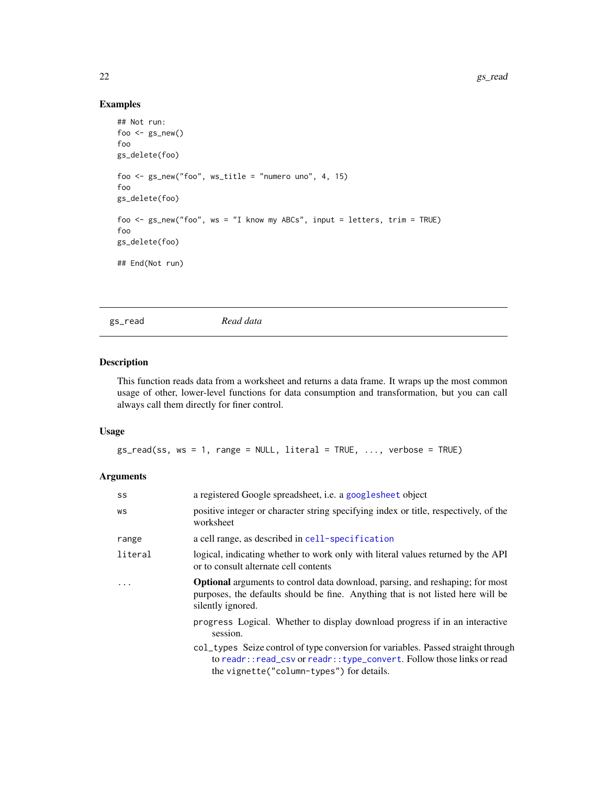# Examples

```
## Not run:
foo \leq gs_new()
foo
gs_delete(foo)
foo <- gs_new("foo", ws_title = "numero uno", 4, 15)
foo
gs_delete(foo)
foo <- gs_new("foo", ws = "I know my ABCs", input = letters, trim = TRUE)
foo
gs_delete(foo)
## End(Not run)
```
<span id="page-21-1"></span>gs\_read *Read data*

#### Description

This function reads data from a worksheet and returns a data frame. It wraps up the most common usage of other, lower-level functions for data consumption and transformation, but you can call always call them directly for finer control.

#### Usage

 $gs_{\text{read}}(ss, ws = 1, range = NULL, literal = TRUE, ..., verbose = TRUE)$ 

#### Arguments

| SS       | a registered Google spreadsheet, <i>i.e.</i> a googlesheet object                                                                                                                                        |
|----------|----------------------------------------------------------------------------------------------------------------------------------------------------------------------------------------------------------|
| WS       | positive integer or character string specifying index or title, respectively, of the<br>worksheet                                                                                                        |
| range    | a cell range, as described in cell-specification                                                                                                                                                         |
| literal  | logical, indicating whether to work only with literal values returned by the API<br>or to consult alternate cell contents                                                                                |
| $\ddots$ | <b>Optional</b> arguments to control data download, parsing, and reshaping; for most<br>purposes, the defaults should be fine. Anything that is not listed here will be<br>silently ignored.             |
|          | progress Logical. Whether to display download progress if in an interactive<br>session.                                                                                                                  |
|          | col_types Seize control of type conversion for variables. Passed straight through<br>to readr::read_csv or readr::type_convert. Follow those links or read<br>the vignette ("column-types") for details. |

<span id="page-21-0"></span>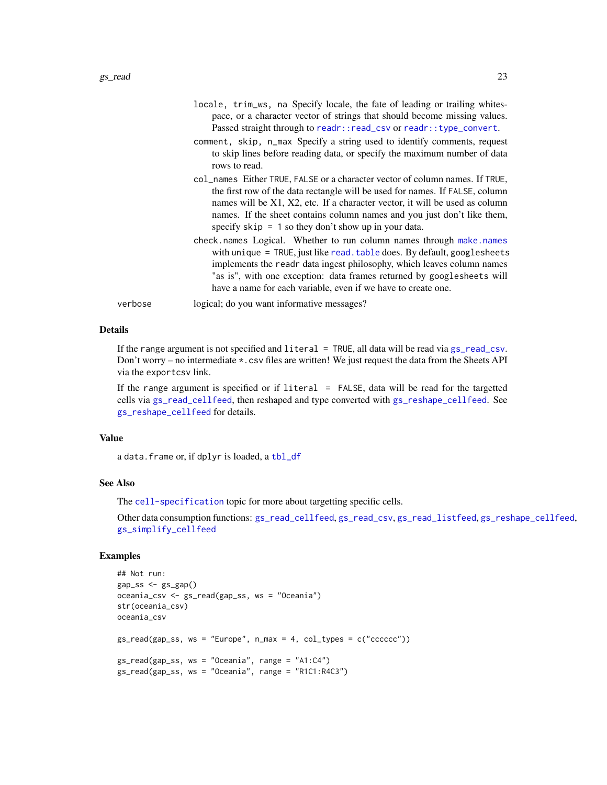<span id="page-22-0"></span>

|         | locale, trim_ws, na Specify locale, the fate of leading or trailing whites-<br>pace, or a character vector of strings that should become missing values.<br>Passed straight through to readr:: read_csv or readr:: type_convert.                                                                                                                                                 |
|---------|----------------------------------------------------------------------------------------------------------------------------------------------------------------------------------------------------------------------------------------------------------------------------------------------------------------------------------------------------------------------------------|
|         | comment, skip, n_max Specify a string used to identify comments, request<br>to skip lines before reading data, or specify the maximum number of data<br>rows to read.                                                                                                                                                                                                            |
|         | col_names Either TRUE, FALSE or a character vector of column names. If TRUE,<br>the first row of the data rectangle will be used for names. If FALSE, column<br>names will be X1, X2, etc. If a character vector, it will be used as column<br>names. If the sheet contains column names and you just don't like them,<br>specify $skip = 1$ so they don't show up in your data. |
|         | check.names Logical. Whether to run column names through make.names<br>with unique = TRUE, just like read. table does. By default, googlesheets<br>implements the readr data ingest philosophy, which leaves column names<br>"as is", with one exception: data frames returned by googlesheets will<br>have a name for each variable, even if we have to create one.             |
| verbose | logical; do you want informative messages?                                                                                                                                                                                                                                                                                                                                       |

#### Details

If the range argument is not specified and literal = TRUE, all data will be read via [gs\\_read\\_csv](#page-25-1). Don't worry – no intermediate \*.csv files are written! We just request the data from the Sheets API via the exportcsv link.

If the range argument is specified or if  $l$  iteral = FALSE, data will be read for the targetted cells via [gs\\_read\\_cellfeed](#page-23-1), then reshaped and type converted with [gs\\_reshape\\_cellfeed](#page-30-1). See [gs\\_reshape\\_cellfeed](#page-30-1) for details.

# Value

a data.frame or, if dplyr is loaded, a [tbl\\_df](#page-0-0)

#### See Also

The [cell-specification](#page-1-2) topic for more about targetting specific cells.

Other data consumption functions: [gs\\_read\\_cellfeed](#page-23-1), [gs\\_read\\_csv](#page-25-1), [gs\\_read\\_listfeed](#page-26-1), [gs\\_reshape\\_cellfeed](#page-30-1), [gs\\_simplify\\_cellfeed](#page-31-1)

# Examples

```
## Not run:
gap_s s \leftarrow gs_gap()oceania_csv <- gs_read(gap_ss, ws = "Oceania")
str(oceania_csv)
oceania_csv
gs_{read}(gap_{ss}, ws = "Europe", n_max = 4, col_{types} = c("cccc c")gs_{\text{read}}(gap_{\text{ss}}, ws = "Oceania", range = "A1:C4")gs_read(gap_ss, ws = "Oceania", range = "R1C1:R4C3")
```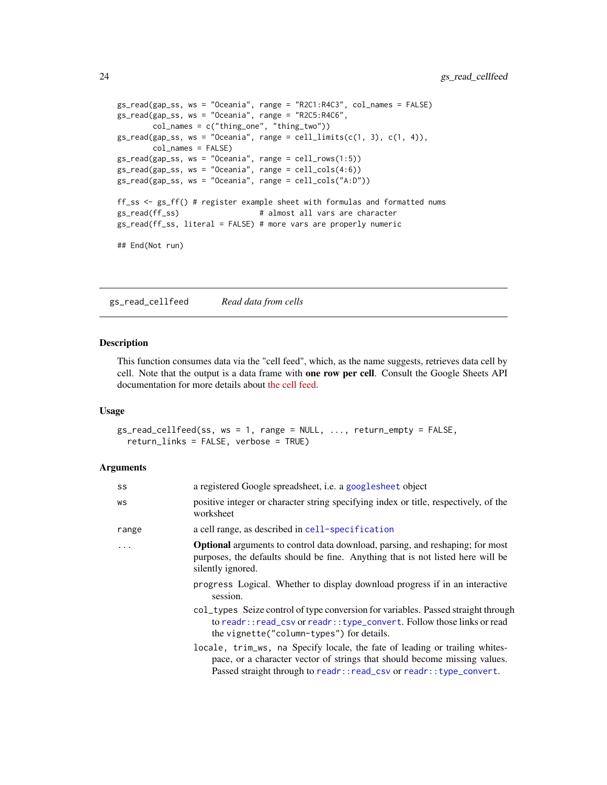```
gs_read(gap_ss, ws = "Oceania", range = "R2C1:R4C3", col_names = FALSE)
gs_read(gap_ss, ws = "Oceania", range = "R2C5:R4C6",
        col_names = c("thing_one", "thing_two"))
gs_{\text{read}}(gap_{\text{ss}}, ws = "Oceania", range = cell_{\text{limit}}(c(1, 3), c(1, 4)),col_names = FALSE)
gs_read(gap_ss, ws = "Oceania", range = cell_rows(1:5))
gs_{\text{read}}(gap_{ss}, ws = "Oceania", range = cell_{\text{cols}}(4:6))gs_read(gap_ss, ws = "Oceania", range = cell_cols("A:D"))
ff_ss <- gs_ff() # register example sheet with formulas and formatted nums
gs_read(ff_ss) # almost all vars are character
gs_read(ff_ss, literal = FALSE) # more vars are properly numeric
## End(Not run)
```
<span id="page-23-1"></span>gs\_read\_cellfeed *Read data from cells*

## Description

This function consumes data via the "cell feed", which, as the name suggests, retrieves data cell by cell. Note that the output is a data frame with one row per cell. Consult the Google Sheets API documentation for more details about [the cell feed.](https://developers.google.com/google-apps/spreadsheets/data#work_with_cell-based_feeds)

#### Usage

gs\_read\_cellfeed(ss, ws = 1, range = NULL, ..., return\_empty = FALSE, return\_links = FALSE, verbose = TRUE)

# Arguments

| SS    | a registered Google spreadsheet, <i>i.e.</i> a googlesheet object                                                                                                                                                                |
|-------|----------------------------------------------------------------------------------------------------------------------------------------------------------------------------------------------------------------------------------|
| WS    | positive integer or character string specifying index or title, respectively, of the<br>worksheet                                                                                                                                |
| range | a cell range, as described in cell-specification                                                                                                                                                                                 |
| .     | <b>Optional</b> arguments to control data download, parsing, and reshaping; for most<br>purposes, the defaults should be fine. Anything that is not listed here will be<br>silently ignored.                                     |
|       | progress Logical. Whether to display download progress if in an interactive<br>session.                                                                                                                                          |
|       | col_types Seize control of type conversion for variables. Passed straight through<br>to readr::read_csv or readr::type_convert. Follow those links or read<br>the vignette ("column-types") for details.                         |
|       | locale, trim_ws, na Specify locale, the fate of leading or trailing whites-<br>pace, or a character vector of strings that should become missing values.<br>Passed straight through to readr:: read_csv or readr:: type_convert. |

<span id="page-23-0"></span>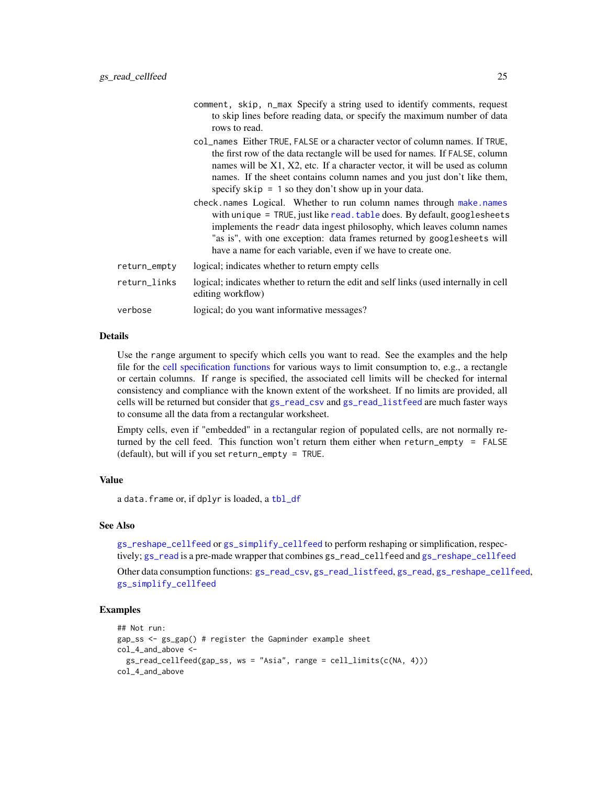<span id="page-24-0"></span>

|              | comment, skip, n_max Specify a string used to identify comments, request<br>to skip lines before reading data, or specify the maximum number of data<br>rows to read.                                                                                                                                                                                                            |
|--------------|----------------------------------------------------------------------------------------------------------------------------------------------------------------------------------------------------------------------------------------------------------------------------------------------------------------------------------------------------------------------------------|
|              | col_names Either TRUE, FALSE or a character vector of column names. If TRUE,<br>the first row of the data rectangle will be used for names. If FALSE, column<br>names will be X1, X2, etc. If a character vector, it will be used as column<br>names. If the sheet contains column names and you just don't like them,<br>specify $skip = 1$ so they don't show up in your data. |
|              | check.names Logical. Whether to run column names through make.names<br>with unique = TRUE, just like read. table does. By default, googlesheets<br>implements the readr data ingest philosophy, which leaves column names<br>"as is", with one exception: data frames returned by googlesheets will<br>have a name for each variable, even if we have to create one.             |
| return_empty | logical; indicates whether to return empty cells                                                                                                                                                                                                                                                                                                                                 |
| return_links | logical; indicates whether to return the edit and self links (used internally in cell<br>editing workflow)                                                                                                                                                                                                                                                                       |
| verbose      | logical; do you want informative messages?                                                                                                                                                                                                                                                                                                                                       |

#### Details

Use the range argument to specify which cells you want to read. See the examples and the help file for the [cell specification functions](#page-1-2) for various ways to limit consumption to, e.g., a rectangle or certain columns. If range is specified, the associated cell limits will be checked for internal consistency and compliance with the known extent of the worksheet. If no limits are provided, all cells will be returned but consider that [gs\\_read\\_csv](#page-25-1) and [gs\\_read\\_listfeed](#page-26-1) are much faster ways to consume all the data from a rectangular worksheet.

Empty cells, even if "embedded" in a rectangular region of populated cells, are not normally returned by the cell feed. This function won't return them either when return\_empty = FALSE (default), but will if you set return\_empty = TRUE.

# Value

a data.frame or, if dplyr is loaded, a [tbl\\_df](#page-0-0)

#### See Also

[gs\\_reshape\\_cellfeed](#page-30-1) or [gs\\_simplify\\_cellfeed](#page-31-1) to perform reshaping or simplification, respectively; [gs\\_read](#page-21-1) is a pre-made wrapper that combines gs\_read\_cellfeed and [gs\\_reshape\\_cellfeed](#page-30-1)

Other data consumption functions: [gs\\_read\\_csv](#page-25-1), [gs\\_read\\_listfeed](#page-26-1), [gs\\_read](#page-21-1), [gs\\_reshape\\_cellfeed](#page-30-1), [gs\\_simplify\\_cellfeed](#page-31-1)

# Examples

```
## Not run:
gap_ss <- gs_gap() # register the Gapminder example sheet
col_4_and_above <-
  gs_read_cellfeed(gap_ss, ws = "Asia", range = cell_limits(c(NA, 4)))
col_4_and_above
```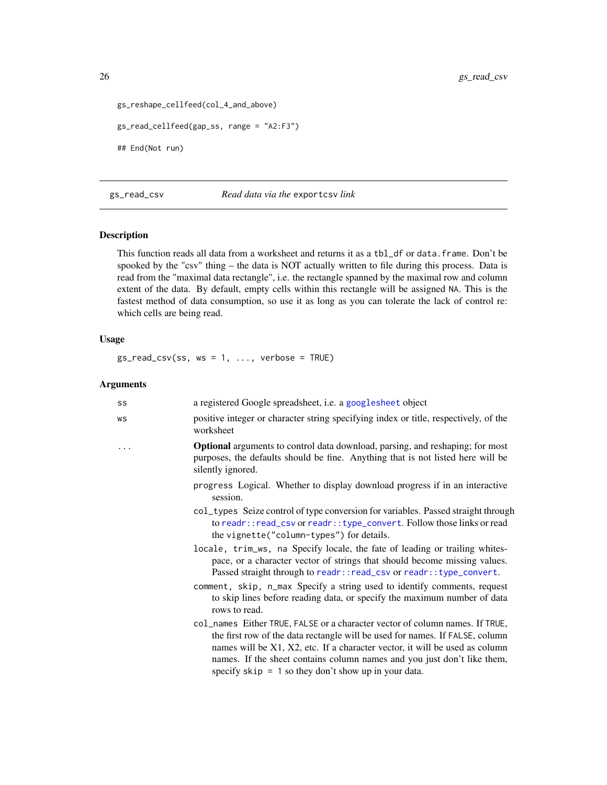```
gs_reshape_cellfeed(col_4_and_above)
gs_read_cellfeed(gap_ss, range = "A2:F3")
## End(Not run)
```
<span id="page-25-1"></span>gs\_read\_csv *Read data via the* exportcsv *link*

# Description

This function reads all data from a worksheet and returns it as a tbl\_df or data.frame. Don't be spooked by the "csv" thing – the data is NOT actually written to file during this process. Data is read from the "maximal data rectangle", i.e. the rectangle spanned by the maximal row and column extent of the data. By default, empty cells within this rectangle will be assigned NA. This is the fastest method of data consumption, so use it as long as you can tolerate the lack of control re: which cells are being read.

#### Usage

 $gs_{\text{read\_csv}}(ss, ws = 1, ..., venose = TRUE)$ 

#### Arguments

| SS | a registered Google spreadsheet, i.e. a googlesheet object                                                                                                                                                                                                                                                                                                                       |
|----|----------------------------------------------------------------------------------------------------------------------------------------------------------------------------------------------------------------------------------------------------------------------------------------------------------------------------------------------------------------------------------|
| WS | positive integer or character string specifying index or title, respectively, of the<br>worksheet                                                                                                                                                                                                                                                                                |
|    | <b>Optional</b> arguments to control data download, parsing, and reshaping; for most<br>purposes, the defaults should be fine. Anything that is not listed here will be<br>silently ignored.                                                                                                                                                                                     |
|    | progress Logical. Whether to display download progress if in an interactive<br>session.                                                                                                                                                                                                                                                                                          |
|    | col_types Seize control of type conversion for variables. Passed straight through<br>to readr:: read_csv or readr:: type_convert. Follow those links or read<br>the vignette("column-types") for details.                                                                                                                                                                        |
|    | locale, trim_ws, na Specify locale, the fate of leading or trailing whites-<br>pace, or a character vector of strings that should become missing values.<br>Passed straight through to readr:: read_csv or readr:: type_convert.                                                                                                                                                 |
|    | comment, skip, n_max Specify a string used to identify comments, request<br>to skip lines before reading data, or specify the maximum number of data<br>rows to read.                                                                                                                                                                                                            |
|    | col_names Either TRUE, FALSE or a character vector of column names. If TRUE,<br>the first row of the data rectangle will be used for names. If FALSE, column<br>names will be X1, X2, etc. If a character vector, it will be used as column<br>names. If the sheet contains column names and you just don't like them,<br>specify $skip = 1$ so they don't show up in your data. |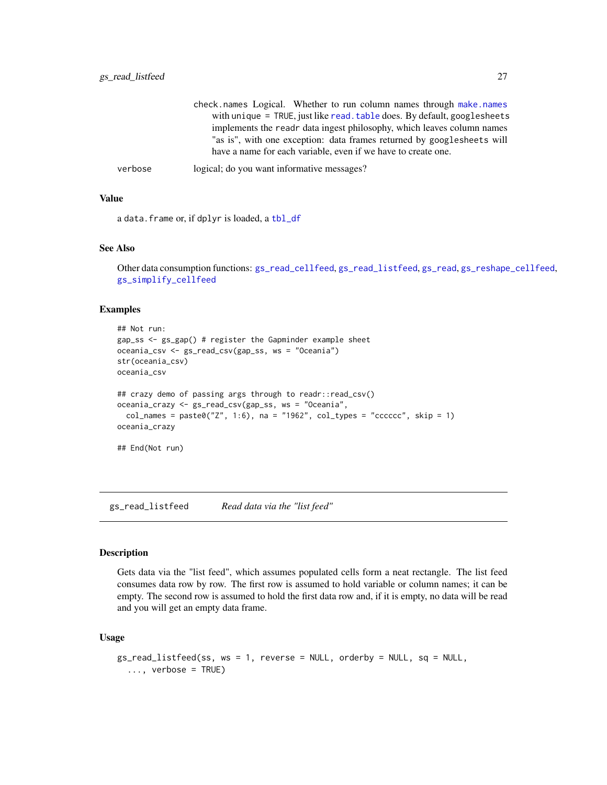<span id="page-26-0"></span>

|         | check.names Logical. Whether to run column names through make.names      |
|---------|--------------------------------------------------------------------------|
|         | with unique = TRUE, just like read. table does. By default, googlesheets |
|         | implements the readr data ingest philosophy, which leaves column names   |
|         | "as is", with one exception: data frames returned by googlesheets will   |
|         | have a name for each variable, even if we have to create one.            |
| verbose | logical; do you want informative messages?                               |

#### Value

a data.frame or, if dplyr is loaded, a [tbl\\_df](#page-0-0)

#### See Also

```
Other data consumption functions: gs_read_cellfeed, gs_read_listfeed, gs_read, gs_reshape_cellfeed,
gs_simplify_cellfeed
```
#### Examples

```
## Not run:
gap_ss <- gs_gap() # register the Gapminder example sheet
oceania_csv <- gs_read_csv(gap_ss, ws = "Oceania")
str(oceania_csv)
oceania_csv
## crazy demo of passing args through to readr::read_csv()
oceania_crazy <- gs_read_csv(gap_ss, ws = "Oceania",
  col\_names = paste0("Z", 1:6), na = "1962", col\_types = "cccccc'', skip = 1)oceania_crazy
## End(Not run)
```
<span id="page-26-1"></span>gs\_read\_listfeed *Read data via the "list feed"*

#### Description

Gets data via the "list feed", which assumes populated cells form a neat rectangle. The list feed consumes data row by row. The first row is assumed to hold variable or column names; it can be empty. The second row is assumed to hold the first data row and, if it is empty, no data will be read and you will get an empty data frame.

#### Usage

```
gs_read_listfeed(ss, ws = 1, reverse = NULL, orderby = NULL, sq = NULL,
  \ldots, verbose = TRUE)
```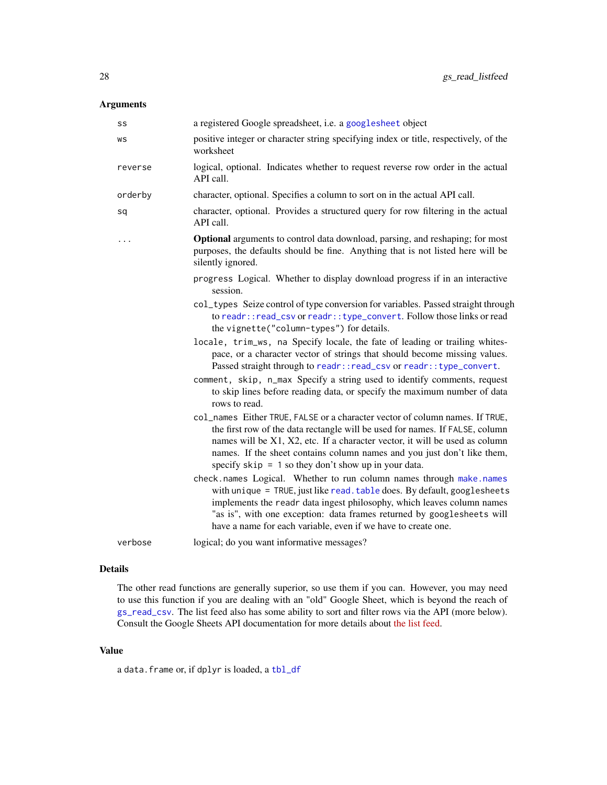# <span id="page-27-0"></span>Arguments

| SS      | a registered Google spreadsheet, i.e. a googlesheet object                                                                                                                                                                                                                                                                                                                       |
|---------|----------------------------------------------------------------------------------------------------------------------------------------------------------------------------------------------------------------------------------------------------------------------------------------------------------------------------------------------------------------------------------|
| WS      | positive integer or character string specifying index or title, respectively, of the<br>worksheet                                                                                                                                                                                                                                                                                |
| reverse | logical, optional. Indicates whether to request reverse row order in the actual<br>API call.                                                                                                                                                                                                                                                                                     |
| orderby | character, optional. Specifies a column to sort on in the actual API call.                                                                                                                                                                                                                                                                                                       |
| sq      | character, optional. Provides a structured query for row filtering in the actual<br>API call.                                                                                                                                                                                                                                                                                    |
| .       | Optional arguments to control data download, parsing, and reshaping; for most<br>purposes, the defaults should be fine. Anything that is not listed here will be<br>silently ignored.                                                                                                                                                                                            |
|         | progress Logical. Whether to display download progress if in an interactive<br>session.                                                                                                                                                                                                                                                                                          |
|         | col_types Seize control of type conversion for variables. Passed straight through<br>to readr:: read_csv or readr:: type_convert. Follow those links or read<br>the vignette("column-types") for details.                                                                                                                                                                        |
|         | locale, trim_ws, na Specify locale, the fate of leading or trailing whites-<br>pace, or a character vector of strings that should become missing values.<br>Passed straight through to readr:: read_csv or readr:: type_convert.                                                                                                                                                 |
|         | comment, skip, n_max Specify a string used to identify comments, request<br>to skip lines before reading data, or specify the maximum number of data<br>rows to read.                                                                                                                                                                                                            |
|         | col_names Either TRUE, FALSE or a character vector of column names. If TRUE,<br>the first row of the data rectangle will be used for names. If FALSE, column<br>names will be X1, X2, etc. If a character vector, it will be used as column<br>names. If the sheet contains column names and you just don't like them,<br>specify $skip = 1$ so they don't show up in your data. |
|         | check.names Logical. Whether to run column names through make.names<br>with unique = TRUE, just like read. table does. By default, googlesheets<br>implements the readr data ingest philosophy, which leaves column names<br>"as is", with one exception: data frames returned by googlesheets will<br>have a name for each variable, even if we have to create one.             |
| verbose | logical; do you want informative messages?                                                                                                                                                                                                                                                                                                                                       |

# Details

The other read functions are generally superior, so use them if you can. However, you may need to use this function if you are dealing with an "old" Google Sheet, which is beyond the reach of [gs\\_read\\_csv](#page-25-1). The list feed also has some ability to sort and filter rows via the API (more below). Consult the Google Sheets API documentation for more details about [the list feed.](https://developers.google.com/google-apps/spreadsheets/data#work_with_list-based_feeds)

# Value

a data.frame or, if dplyr is loaded, a [tbl\\_df](#page-0-0)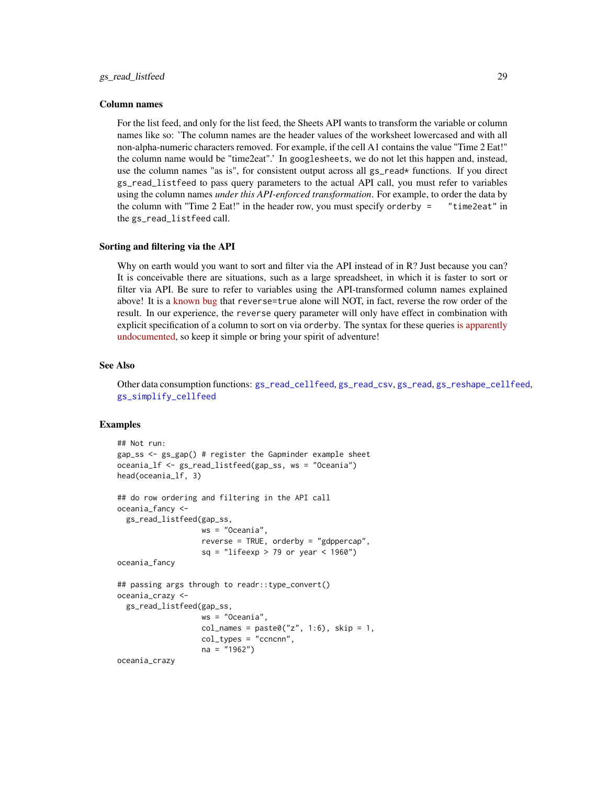#### <span id="page-28-0"></span>Column names

For the list feed, and only for the list feed, the Sheets API wants to transform the variable or column names like so: 'The column names are the header values of the worksheet lowercased and with all non-alpha-numeric characters removed. For example, if the cell A1 contains the value "Time 2 Eat!" the column name would be "time2eat".' In googlesheets, we do not let this happen and, instead, use the column names "as is", for consistent output across all gs\_read\* functions. If you direct gs\_read\_listfeed to pass query parameters to the actual API call, you must refer to variables using the column names *under this API-enforced transformation*. For example, to order the data by the column with "Time  $2$  Eat!" in the header row, you must specify orderby  $=$  "time2eat" in the gs\_read\_listfeed call.

#### Sorting and filtering via the API

Why on earth would you want to sort and filter via the API instead of in R? Just because you can? It is conceivable there are situations, such as a large spreadsheet, in which it is faster to sort or filter via API. Be sure to refer to variables using the API-transformed column names explained above! It is a [known bug](https://code.google.com/a/google.com/p/apps-api-issues/issues/detail?id=3588) that reverse=true alone will NOT, in fact, reverse the row order of the result. In our experience, the reverse query parameter will only have effect in combination with explicit specification of a column to sort on via orderby. The syntax for these queries [is apparently](http://stackoverflow.com/questions/25732784/official-reference-for-google-spreadsheet-api-structured-query-syntax) [undocumented,](http://stackoverflow.com/questions/25732784/official-reference-for-google-spreadsheet-api-structured-query-syntax) so keep it simple or bring your spirit of adventure!

# See Also

Other data consumption functions: [gs\\_read\\_cellfeed](#page-23-1), [gs\\_read\\_csv](#page-25-1), [gs\\_read](#page-21-1), [gs\\_reshape\\_cellfeed](#page-30-1), [gs\\_simplify\\_cellfeed](#page-31-1)

#### Examples

```
## Not run:
gap_ss <- gs_gap() # register the Gapminder example sheet
oceania_lf <- gs_read_listfeed(gap_ss, ws = "Oceania")
head(oceania_lf, 3)
## do row ordering and filtering in the API call
oceania_fancy <-
 gs_read_listfeed(gap_ss,
                  ws = "Oceania",
                   reverse = TRUE, orderby = "gdppercap",
                   sq = "lifeexp > 79 or year < 1960")
oceania_fancy
## passing args through to readr::type_convert()
oceania_crazy <-
 gs_read_listfeed(gap_ss,
                   ws = "Oceania",
                   col\_names = paste0("z", 1:6), skip = 1,col_types = "ccncnn",
                   na = "1962")
oceania_crazy
```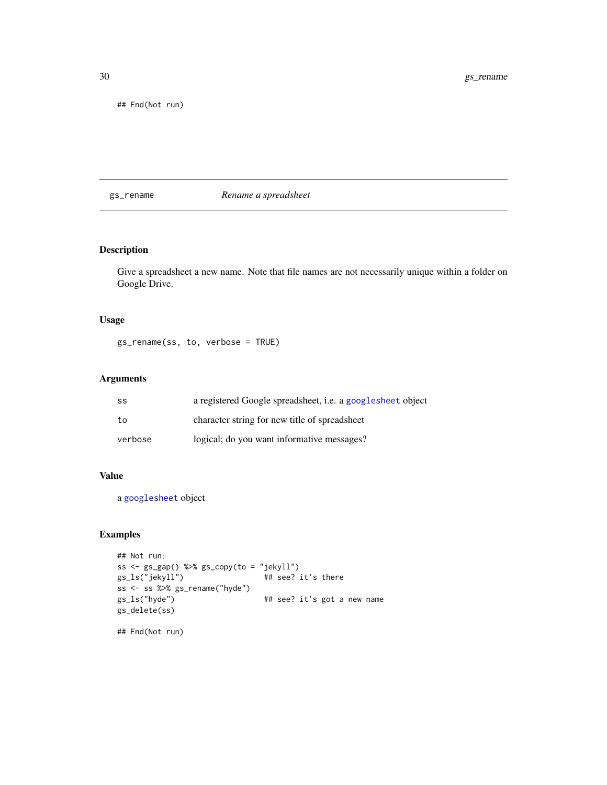## End(Not run)

gs\_rename *Rename a spreadsheet*

# Description

Give a spreadsheet a new name. Note that file names are not necessarily unique within a folder on Google Drive.

# Usage

gs\_rename(ss, to, verbose = TRUE)

#### Arguments

| SS      | a registered Google spreadsheet, <i>i.e.</i> a googlesheet object |
|---------|-------------------------------------------------------------------|
| to      | character string for new title of spreadsheet                     |
| verbose | logical; do you want informative messages?                        |

#### Value

a [googlesheet](#page-6-1) object

# Examples

```
## Not run:
ss <- gs_gap() %>% gs_copy(to = "jekyll")
gs_ls("jekyll") ## see? it's there
ss <- ss %>% gs_rename("hyde")
gs_ls("hyde") ## see? it's got a new name
gs_delete(ss)
```
## End(Not run)

<span id="page-29-0"></span>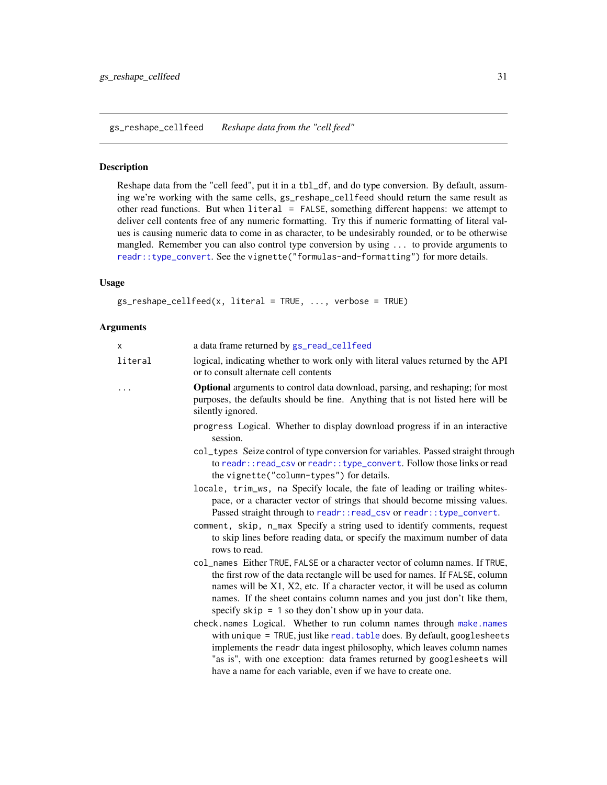<span id="page-30-1"></span><span id="page-30-0"></span>gs\_reshape\_cellfeed *Reshape data from the "cell feed"*

#### Description

Reshape data from the "cell feed", put it in a tbl\_df, and do type conversion. By default, assuming we're working with the same cells, gs\_reshape\_cellfeed should return the same result as other read functions. But when literal = FALSE, something different happens: we attempt to deliver cell contents free of any numeric formatting. Try this if numeric formatting of literal values is causing numeric data to come in as character, to be undesirably rounded, or to be otherwise mangled. Remember you can also control type conversion by using ... to provide arguments to [readr::type\\_convert](#page-0-0). See the vignette("formulas-and-formatting") for more details.

#### Usage

```
gs_reshape_cellfeed(x, literal = TRUE, ..., verbose = TRUE)
```
#### Arguments

| X       | a data frame returned by gs_read_cellfeed                                                                                                                                                                                                                                                                                                                                        |
|---------|----------------------------------------------------------------------------------------------------------------------------------------------------------------------------------------------------------------------------------------------------------------------------------------------------------------------------------------------------------------------------------|
| literal | logical, indicating whether to work only with literal values returned by the API<br>or to consult alternate cell contents                                                                                                                                                                                                                                                        |
|         | <b>Optional</b> arguments to control data download, parsing, and reshaping; for most<br>purposes, the defaults should be fine. Anything that is not listed here will be<br>silently ignored.                                                                                                                                                                                     |
|         | progress Logical. Whether to display download progress if in an interactive<br>session.                                                                                                                                                                                                                                                                                          |
|         | col_types Seize control of type conversion for variables. Passed straight through<br>to readr:: read_csv or readr:: type_convert. Follow those links or read<br>the vignette("column-types") for details.                                                                                                                                                                        |
|         | locale, trim_ws, na Specify locale, the fate of leading or trailing whites-<br>pace, or a character vector of strings that should become missing values.<br>Passed straight through to readr:: read_csv or readr:: type_convert.                                                                                                                                                 |
|         | comment, skip, n_max Specify a string used to identify comments, request<br>to skip lines before reading data, or specify the maximum number of data<br>rows to read.                                                                                                                                                                                                            |
|         | col_names Either TRUE, FALSE or a character vector of column names. If TRUE,<br>the first row of the data rectangle will be used for names. If FALSE, column<br>names will be X1, X2, etc. If a character vector, it will be used as column<br>names. If the sheet contains column names and you just don't like them,<br>specify $skip = 1$ so they don't show up in your data. |
|         | check.names Logical. Whether to run column names through make.names<br>with unique = TRUE, just like read. table does. By default, googlesheets<br>implements the readr data ingest philosophy, which leaves column names<br>"as is", with one exception: data frames returned by googlesheets will<br>have a name for each variable, even if we have to create one.             |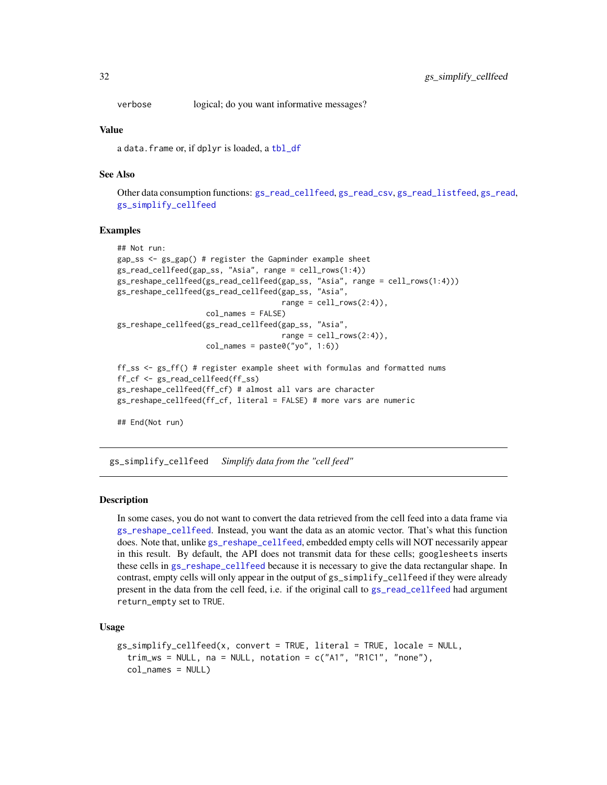<span id="page-31-0"></span>verbose logical; do you want informative messages?

#### Value

a data.frame or, if dplyr is loaded, a [tbl\\_df](#page-0-0)

# See Also

Other data consumption functions: [gs\\_read\\_cellfeed](#page-23-1), [gs\\_read\\_csv](#page-25-1), [gs\\_read\\_listfeed](#page-26-1), [gs\\_read](#page-21-1), [gs\\_simplify\\_cellfeed](#page-31-1)

#### Examples

```
## Not run:
gap_ss <- gs_gap() # register the Gapminder example sheet
gs_read_cellfeed(gap_ss, "Asia", range = cell_rows(1:4))
gs_reshape_cellfeed(gs_read_cellfeed(gap_ss, "Asia", range = cell_rows(1:4)))
gs_reshape_cellfeed(gs_read_cellfeed(gap_ss, "Asia",
                                     range = cell_rows(2:4),
                    col_names = FALSE)
gs_reshape_cellfeed(gs_read_cellfeed(gap_ss, "Asia",
                                     range = cell_{rows}(2:4),
                    col_names = paste@("yo", 1:6))ff_ss <- gs_ff() # register example sheet with formulas and formatted nums
ff_cf <- gs_read_cellfeed(ff_ss)
gs_reshape_cellfeed(ff_cf) # almost all vars are character
gs_reshape_cellfeed(ff_cf, literal = FALSE) # more vars are numeric
## End(Not run)
```
<span id="page-31-1"></span>gs\_simplify\_cellfeed *Simplify data from the "cell feed"*

#### Description

In some cases, you do not want to convert the data retrieved from the cell feed into a data frame via [gs\\_reshape\\_cellfeed](#page-30-1). Instead, you want the data as an atomic vector. That's what this function does. Note that, unlike [gs\\_reshape\\_cellfeed](#page-30-1), embedded empty cells will NOT necessarily appear in this result. By default, the API does not transmit data for these cells; googlesheets inserts these cells in [gs\\_reshape\\_cellfeed](#page-30-1) because it is necessary to give the data rectangular shape. In contrast, empty cells will only appear in the output of gs\_simplify\_cellfeed if they were already present in the data from the cell feed, i.e. if the original call to [gs\\_read\\_cellfeed](#page-23-1) had argument return\_empty set to TRUE.

#### Usage

```
gs_simplify_cellfeed(x, convert = TRUE, literal = TRUE, locale = NULL,
  trim\_ws = NULL, na = NULL, notation = c("A1", "R1C1", "none"),col_names = NULL)
```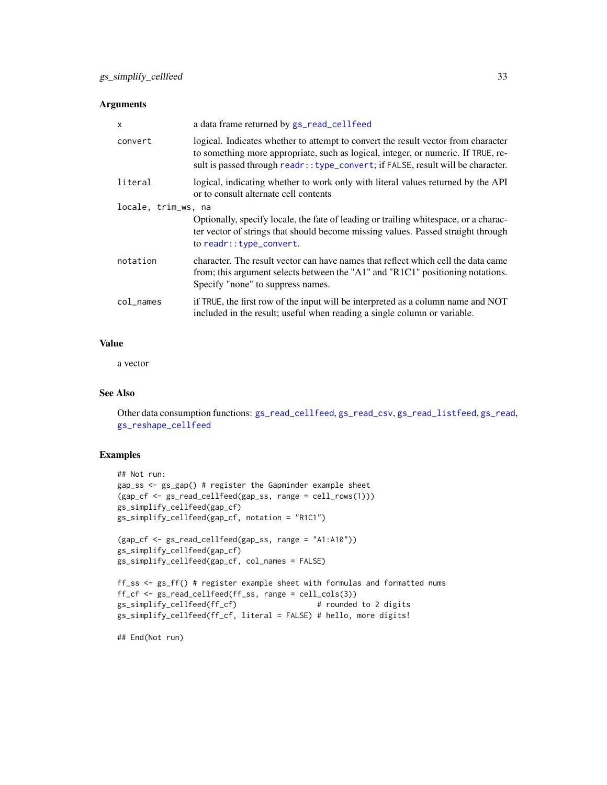# <span id="page-32-0"></span>Arguments

| $\mathsf{x}$        | a data frame returned by gs_read_cellfeed                                                                                                                                                                                                                  |
|---------------------|------------------------------------------------------------------------------------------------------------------------------------------------------------------------------------------------------------------------------------------------------------|
| convert             | logical. Indicates whether to attempt to convert the result vector from character<br>to something more appropriate, such as logical, integer, or numeric. If TRUE, re-<br>sult is passed through readr:: type_convert; if FALSE, result will be character. |
| literal             | logical, indicating whether to work only with literal values returned by the API<br>or to consult alternate cell contents                                                                                                                                  |
| locale, trim_ws, na |                                                                                                                                                                                                                                                            |
|                     | Optionally, specify locale, the fate of leading or trailing white space, or a charac-<br>ter vector of strings that should become missing values. Passed straight through<br>to readr:: type_convert.                                                      |
| notation            | character. The result vector can have names that reflect which cell the data came<br>from; this argument selects between the "A1" and "R1C1" positioning notations.<br>Specify "none" to suppress names.                                                   |
| col_names           | if TRUE, the first row of the input will be interpreted as a column name and NOT<br>included in the result; useful when reading a single column or variable.                                                                                               |

# Value

a vector

#### See Also

Other data consumption functions: [gs\\_read\\_cellfeed](#page-23-1), [gs\\_read\\_csv](#page-25-1), [gs\\_read\\_listfeed](#page-26-1), [gs\\_read](#page-21-1), [gs\\_reshape\\_cellfeed](#page-30-1)

#### Examples

```
## Not run:
gap_ss <- gs_gap() # register the Gapminder example sheet
(gap_cf <- gs_read_cellfeed(gap_ss, range = cell_rows(1)))
gs_simplify_cellfeed(gap_cf)
gs_simplify_cellfeed(gap_cf, notation = "R1C1")
```

```
(gap_cf <- gs_read_cellfeed(gap_ss, range = "A1:A10"))
gs_simplify_cellfeed(gap_cf)
gs_simplify_cellfeed(gap_cf, col_names = FALSE)
```

```
ff_ss <- gs_ff() # register example sheet with formulas and formatted nums
ff_cf <- gs_read_cellfeed(ff_ss, range = cell_cols(3))
gs_simplify_cellfeed(ff_cf) # rounded to 2 digits
gs_simplify_cellfeed(ff_cf, literal = FALSE) # hello, more digits!
```
## End(Not run)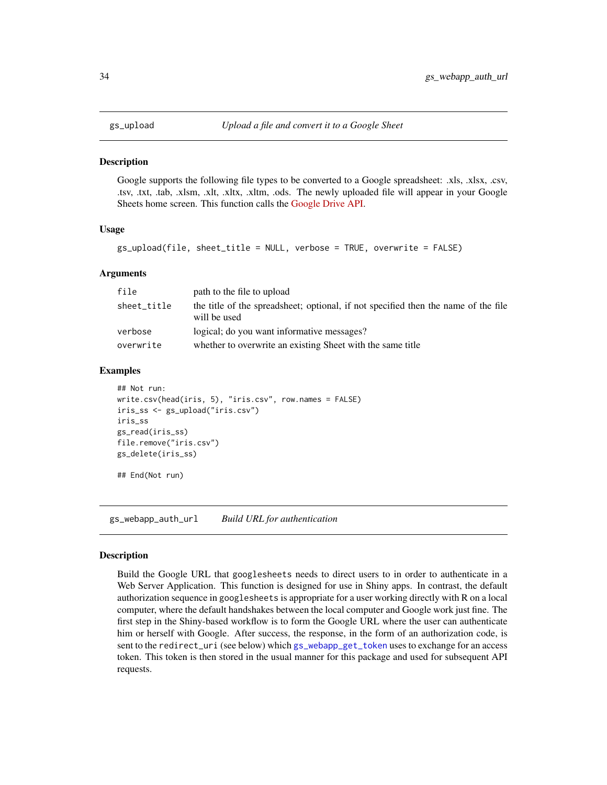<span id="page-33-2"></span><span id="page-33-0"></span>

#### **Description**

Google supports the following file types to be converted to a Google spreadsheet: .xls, .xlsx, .csv, .tsv, .txt, .tab, .xlsm, .xlt, .xltx, .xltm, .ods. The newly uploaded file will appear in your Google Sheets home screen. This function calls the [Google Drive API.](https://developers.google.com/drive/v2/reference/)

#### Usage

```
gs_upload(file, sheet_title = NULL, verbose = TRUE, overwrite = FALSE)
```
#### Arguments

| file        | path to the file to upload                                                                         |
|-------------|----------------------------------------------------------------------------------------------------|
| sheet title | the title of the spreadsheet; optional, if not specified then the name of the file<br>will be used |
| verbose     | logical; do you want informative messages?                                                         |
| overwrite   | whether to overwrite an existing Sheet with the same title                                         |

#### Examples

```
## Not run:
write.csv(head(iris, 5), "iris.csv", row.names = FALSE)
iris_ss <- gs_upload("iris.csv")
iris_ss
gs_read(iris_ss)
file.remove("iris.csv")
gs_delete(iris_ss)
## End(Not run)
```
<span id="page-33-1"></span>gs\_webapp\_auth\_url *Build URL for authentication*

#### Description

Build the Google URL that googlesheets needs to direct users to in order to authenticate in a Web Server Application. This function is designed for use in Shiny apps. In contrast, the default authorization sequence in googlesheets is appropriate for a user working directly with R on a local computer, where the default handshakes between the local computer and Google work just fine. The first step in the Shiny-based workflow is to form the Google URL where the user can authenticate him or herself with Google. After success, the response, in the form of an authorization code, is sent to the redirect\_uri (see below) which [gs\\_webapp\\_get\\_token](#page-34-1) uses to exchange for an access token. This token is then stored in the usual manner for this package and used for subsequent API requests.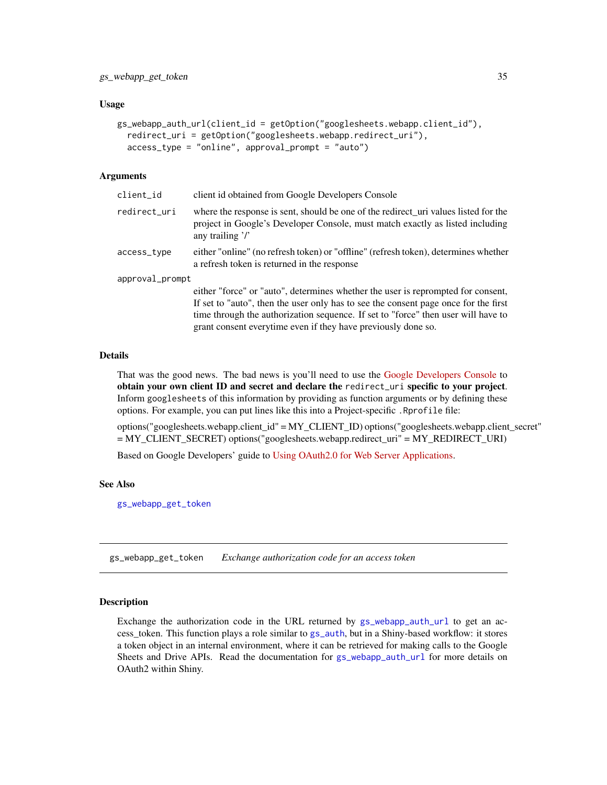#### <span id="page-34-0"></span>Usage

```
gs_webapp_auth_url(client_id = getOption("googlesheets.webapp.client_id"),
  redirect_uri = getOption("googlesheets.webapp.redirect_uri"),
  access_type = "online", approval_prompt = "auto")
```
#### Arguments

| client_id       | client id obtained from Google Developers Console                                                                                                                                                                                                                                                                             |
|-----------------|-------------------------------------------------------------------------------------------------------------------------------------------------------------------------------------------------------------------------------------------------------------------------------------------------------------------------------|
| redirect_uri    | where the response is sent, should be one of the redirect_uri values listed for the<br>project in Google's Developer Console, must match exactly as listed including<br>any trailing $\gamma$                                                                                                                                 |
| access_type     | either "online" (no refresh token) or "offline" (refresh token), determines whether<br>a refresh token is returned in the response                                                                                                                                                                                            |
| approval_prompt |                                                                                                                                                                                                                                                                                                                               |
|                 | either "force" or "auto", determines whether the user is reprompted for consent,<br>If set to "auto", then the user only has to see the consent page once for the first<br>time through the authorization sequence. If set to "force" then user will have to<br>grant consent everytime even if they have previously done so. |

#### Details

That was the good news. The bad news is you'll need to use the [Google Developers Console](https://console.developers.google.com) to obtain your own client ID and secret and declare the redirect\_uri specific to your project. Inform googlesheets of this information by providing as function arguments or by defining these options. For example, you can put lines like this into a Project-specific .Rprofile file:

options("googlesheets.webapp.client\_id" = MY\_CLIENT\_ID) options("googlesheets.webapp.client\_secret" = MY\_CLIENT\_SECRET) options("googlesheets.webapp.redirect\_uri" = MY\_REDIRECT\_URI)

Based on Google Developers' guide to [Using OAuth2.0 for Web Server Applications.](https://developers.google.com/identity/protocols/OAuth2WebServer)

#### See Also

[gs\\_webapp\\_get\\_token](#page-34-1)

<span id="page-34-1"></span>gs\_webapp\_get\_token *Exchange authorization code for an access token*

#### **Description**

Exchange the authorization code in the URL returned by  $gs_{webapp\_auth\_url}$  to get an access\_token. This function plays a role similar to [gs\\_auth](#page-9-1), but in a Shiny-based workflow: it stores a token object in an internal environment, where it can be retrieved for making calls to the Google Sheets and Drive APIs. Read the documentation for [gs\\_webapp\\_auth\\_url](#page-33-1) for more details on OAuth2 within Shiny.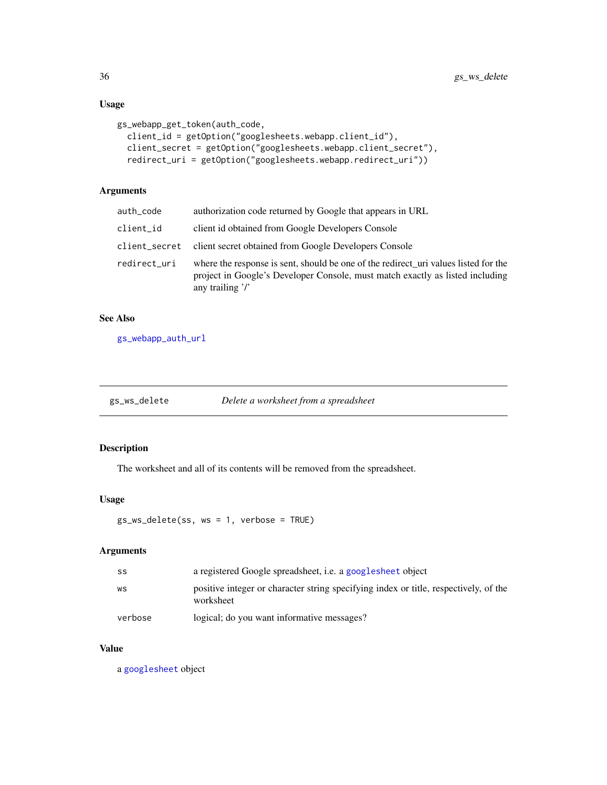# Usage

```
gs_webapp_get_token(auth_code,
 client_id = getOption("googlesheets.webapp.client_id"),
 client_secret = getOption("googlesheets.webapp.client_secret"),
  redirect_uri = getOption("googlesheets.webapp.redirect_uri"))
```
# Arguments

| auth_code    | authorization code returned by Google that appears in URL                                                                                                                                     |
|--------------|-----------------------------------------------------------------------------------------------------------------------------------------------------------------------------------------------|
| client_id    | client id obtained from Google Developers Console                                                                                                                                             |
|              | client_secret client secret obtained from Google Developers Console                                                                                                                           |
| redirect_uri | where the response is sent, should be one of the redirect_uri values listed for the<br>project in Google's Developer Console, must match exactly as listed including<br>any trailing $\gamma$ |

# See Also

[gs\\_webapp\\_auth\\_url](#page-33-1)

| Delete a worksheet from a spreadsheet<br>gs_ws_delete |
|-------------------------------------------------------|
|-------------------------------------------------------|

# Description

The worksheet and all of its contents will be removed from the spreadsheet.

# Usage

```
gs_ws_delete(ss, ws = 1, verbose = TRUE)
```
# Arguments

| SS      | a registered Google spreadsheet, <i>i.e.</i> a google sheet object                                |
|---------|---------------------------------------------------------------------------------------------------|
| WS      | positive integer or character string specifying index or title, respectively, of the<br>worksheet |
| verbose | logical; do you want informative messages?                                                        |

# Value

a [googlesheet](#page-6-1) object

<span id="page-35-0"></span>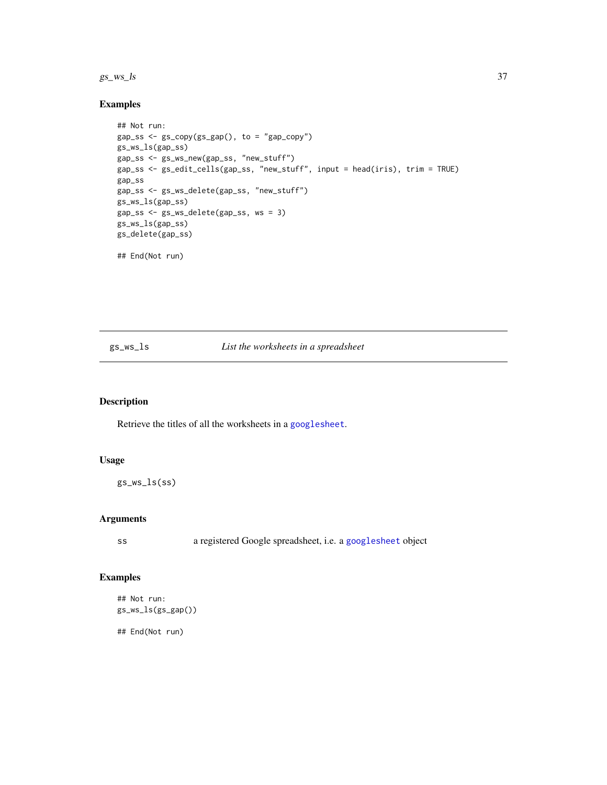#### <span id="page-36-0"></span> $gs\_ws\_ls$  37

# Examples

```
## Not run:
gap\_ss \leftarrow gs\_copy(gs\_gap(), to = "gap\_copy")gs_ws_ls(gap_ss)
gap_ss <- gs_ws_new(gap_ss, "new_stuff")
gap_ss <- gs_edit_cells(gap_ss, "new_stuff", input = head(iris), trim = TRUE)
gap_ss
gap_ss <- gs_ws_delete(gap_ss, "new_stuff")
gs_ws_ls(gap_ss)
gap_ss <- gs_ws_delete(gap_ss, ws = 3)
gs_ws_ls(gap_ss)
gs_delete(gap_ss)
## End(Not run)
```
# gs\_ws\_ls *List the worksheets in a spreadsheet*

# Description

Retrieve the titles of all the worksheets in a [googlesheet](#page-6-1).

#### Usage

gs\_ws\_ls(ss)

# Arguments

ss a registered Google spreadsheet, i.e. a [googlesheet](#page-6-1) object

# Examples

```
## Not run:
gs_ws_ls(gs_gap())
```
## End(Not run)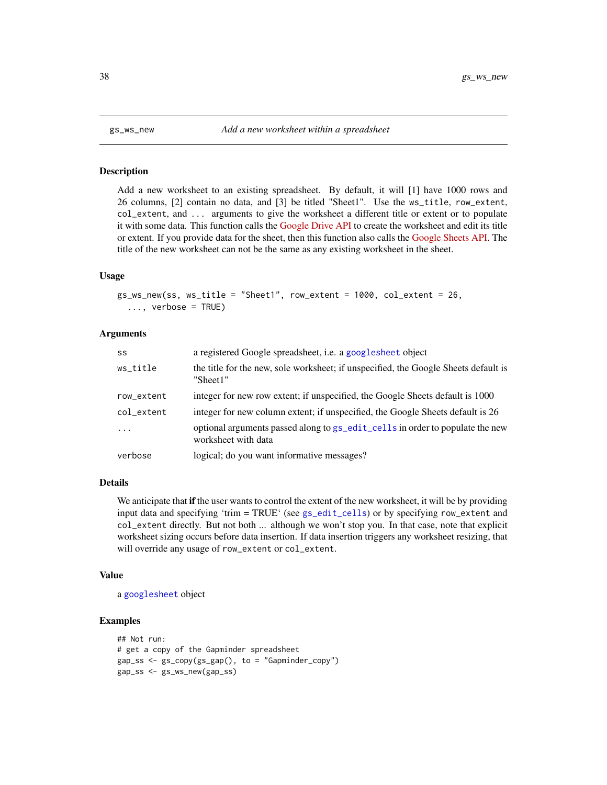#### **Description**

Add a new worksheet to an existing spreadsheet. By default, it will [1] have 1000 rows and 26 columns, [2] contain no data, and [3] be titled "Sheet1". Use the ws\_title, row\_extent, col\_extent, and ... arguments to give the worksheet a different title or extent or to populate it with some data. This function calls the [Google Drive API](https://developers.google.com/drive/v2/reference/) to create the worksheet and edit its title or extent. If you provide data for the sheet, then this function also calls the [Google Sheets API.](https://developers.google.com/google-apps/spreadsheets/) The title of the new worksheet can not be the same as any existing worksheet in the sheet.

#### Usage

```
gs_ws_new(ss, ws_title = "Sheet1", row_extent = 1000, col_extent = 26,
  ..., verbose = TRUE)
```
#### Arguments

| SS         | a registered Google spreadsheet, i.e. a googlesheet object                                           |
|------------|------------------------------------------------------------------------------------------------------|
| ws_title   | the title for the new, sole worksheet; if unspecified, the Google Sheets default is<br>"Sheet1"      |
| row_extent | integer for new row extent; if unspecified, the Google Sheets default is 1000                        |
| col_extent | integer for new column extent; if unspecified, the Google Sheets default is 26                       |
| $\cdot$    | optional arguments passed along to gs_edit_cells in order to populate the new<br>worksheet with data |
| verbose    | logical; do you want informative messages?                                                           |

### **Details**

We anticipate that if the user wants to control the extent of the new worksheet, it will be by providing input data and specifying 'trim = TRUE' (see [gs\\_edit\\_cells](#page-15-1)) or by specifying row\_extent and col\_extent directly. But not both ... although we won't stop you. In that case, note that explicit worksheet sizing occurs before data insertion. If data insertion triggers any worksheet resizing, that will override any usage of row\_extent or col\_extent.

#### Value

a [googlesheet](#page-6-1) object

# Examples

```
## Not run:
# get a copy of the Gapminder spreadsheet
gap_s s \leftarrow gs_copy(gs_gap(), to = "Gapminder_copy")
gap_ss <- gs_ws_new(gap_ss)
```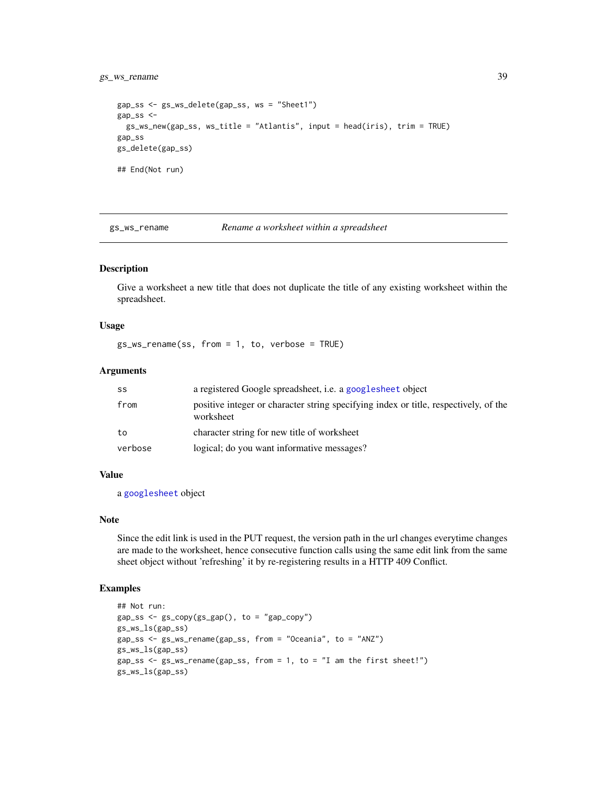# <span id="page-38-0"></span>gs\_ws\_rename 39

```
gap_ss <- gs_ws_delete(gap_ss, ws = "Sheet1")
gap_ss <-
  gs_ws_new(gap_ss, ws_title = "Atlantis", input = head(iris), trim = TRUE)
gap_ss
gs_delete(gap_ss)
## End(Not run)
```
gs\_ws\_rename *Rename a worksheet within a spreadsheet*

# Description

Give a worksheet a new title that does not duplicate the title of any existing worksheet within the spreadsheet.

#### Usage

gs\_ws\_rename(ss, from = 1, to, verbose = TRUE)

#### Arguments

| SS      | a registered Google spreadsheet, <i>i.e.</i> a google sheet object                                |
|---------|---------------------------------------------------------------------------------------------------|
| from    | positive integer or character string specifying index or title, respectively, of the<br>worksheet |
| to      | character string for new title of worksheet                                                       |
| verbose | logical; do you want informative messages?                                                        |

#### Value

a [googlesheet](#page-6-1) object

#### Note

Since the edit link is used in the PUT request, the version path in the url changes everytime changes are made to the worksheet, hence consecutive function calls using the same edit link from the same sheet object without 'refreshing' it by re-registering results in a HTTP 409 Conflict.

# Examples

```
## Not run:
gap_s s \leftarrow gs_copy(gs_gap(), to = "gap_copy")
gs_ws_ls(gap_ss)
gap_ss <- gs_ws_rename(gap_ss, from = "Oceania", to = "ANZ")
gs_ws_ls(gap_ss)
gap_ss <- gs_ws_rename(gap_ss, from = 1, to = "I am the first sheet!")
gs_ws_ls(gap_ss)
```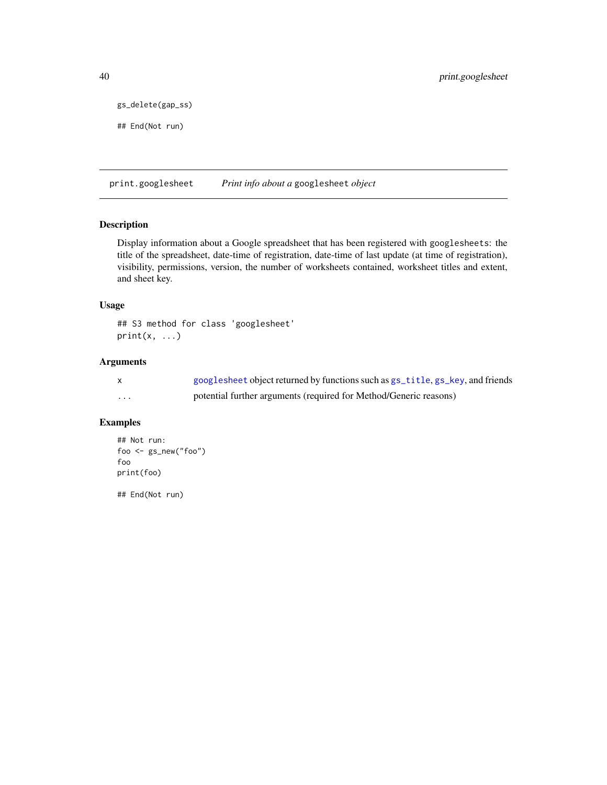```
gs_delete(gap_ss)
```

```
## End(Not run)
```
print.googlesheet *Print info about a* googlesheet *object*

### Description

Display information about a Google spreadsheet that has been registered with googlesheets: the title of the spreadsheet, date-time of registration, date-time of last update (at time of registration), visibility, permissions, version, the number of worksheets contained, worksheet titles and extent, and sheet key.

## Usage

## S3 method for class 'googlesheet'  $print(x, \ldots)$ 

# Arguments

|   | googlesheet object returned by functions such as $gs$ _title, $gs$ _key, and friends |
|---|--------------------------------------------------------------------------------------|
| . | potential further arguments (required for Method/Generic reasons)                    |

# Examples

```
## Not run:
foo <- gs_new("foo")
foo
print(foo)
```
## End(Not run)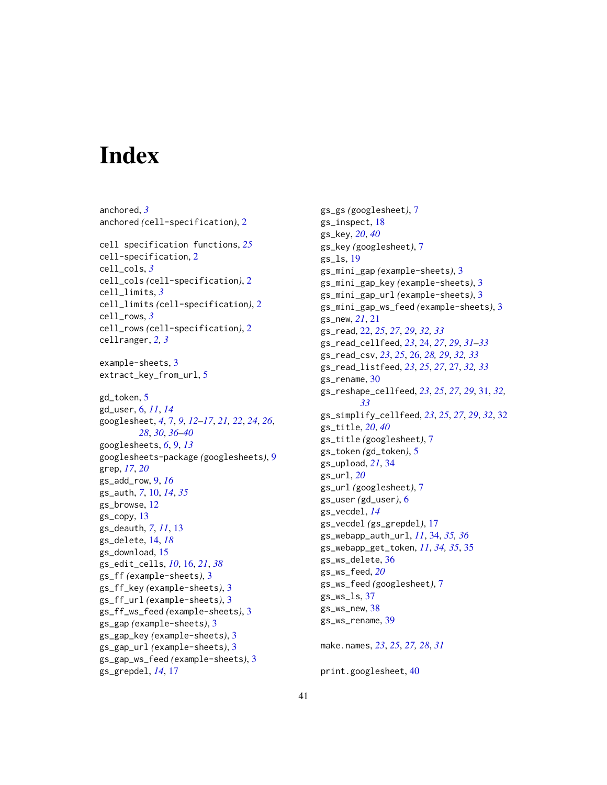# <span id="page-40-0"></span>**Index**

```
anchored, 3
anchored (cell-specification), 2
cell specification functions, 25
cell-specification, 2
cell_cols, 3
cell_cols (cell-specification), 2
cell_limits, 3
cell_limits (cell-specification), 2
cell_rows, 3
cell_rows (cell-specification), 2
cellranger, 2, 3
example-sheets, 3
extract_key_from_url, 5
gd_token, 5
gd_user, 6, 11, 14
googlesheet, 4, 7, 9, 12–17, 21, 22, 24, 26,
        28, 30, 36–40
googlesheets, 6, 9, 13
googlesheets-package (googlesheets), 9
grep, 17, 20
gs_add_row, 9, 16
gs_auth, 7, 10, 14, 35
gs_browse, 12
gs_copy, 13
gs_deauth, 7, 11, 13
gs_delete, 14, 18
gs_download, 15
gs_edit_cells, 10, 16, 21, 38
gs_ff (example-sheets), 3
gs_ff_key (example-sheets), 3
gs_ff_url (example-sheets), 3
gs_ff_ws_feed (example-sheets), 3
gs_gap (example-sheets), 3
gs_gap_key (example-sheets), 3
gs_gap_url (example-sheets), 3
gs_gap_ws_feed (example-sheets), 3
gs_grepdel, 14, 17
```
gs\_gs *(*googlesheet*)*, [7](#page-6-0) gs\_inspect, [18](#page-17-0) gs\_key, *[20](#page-19-0)*, *[40](#page-39-0)* gs\_key *(*googlesheet*)*, [7](#page-6-0) gs\_ls, [19](#page-18-0) gs\_mini\_gap *(*example-sheets*)*, [3](#page-2-0) gs\_mini\_gap\_key *(*example-sheets*)*, [3](#page-2-0) gs\_mini\_gap\_url *(*example-sheets*)*, [3](#page-2-0) gs\_mini\_gap\_ws\_feed *(*example-sheets*)*, [3](#page-2-0) gs\_new, *[21](#page-20-0)*, [21](#page-20-0) gs\_read, [22,](#page-21-0) *[25](#page-24-0)*, *[27](#page-26-0)*, *[29](#page-28-0)*, *[32,](#page-31-0) [33](#page-32-0)* gs\_read\_cellfeed, *[23](#page-22-0)*, [24,](#page-23-0) *[27](#page-26-0)*, *[29](#page-28-0)*, *[31](#page-30-0)[–33](#page-32-0)* gs\_read\_csv, *[23](#page-22-0)*, *[25](#page-24-0)*, [26,](#page-25-0) *[28,](#page-27-0) [29](#page-28-0)*, *[32,](#page-31-0) [33](#page-32-0)* gs\_read\_listfeed, *[23](#page-22-0)*, *[25](#page-24-0)*, *[27](#page-26-0)*, [27,](#page-26-0) *[32,](#page-31-0) [33](#page-32-0)* gs\_rename, [30](#page-29-0) gs\_reshape\_cellfeed, *[23](#page-22-0)*, *[25](#page-24-0)*, *[27](#page-26-0)*, *[29](#page-28-0)*, [31,](#page-30-0) *[32,](#page-31-0) [33](#page-32-0)* gs\_simplify\_cellfeed, *[23](#page-22-0)*, *[25](#page-24-0)*, *[27](#page-26-0)*, *[29](#page-28-0)*, *[32](#page-31-0)*, [32](#page-31-0) gs\_title, *[20](#page-19-0)*, *[40](#page-39-0)* gs\_title *(*googlesheet*)*, [7](#page-6-0) gs\_token *(*gd\_token*)*, [5](#page-4-0) gs\_upload, *[21](#page-20-0)*, [34](#page-33-0) gs\_url, *[20](#page-19-0)* gs\_url *(*googlesheet*)*, [7](#page-6-0) gs\_user *(*gd\_user*)*, [6](#page-5-0) gs\_vecdel, *[14](#page-13-0)* gs\_vecdel *(*gs\_grepdel*)*, [17](#page-16-0) gs\_webapp\_auth\_url, *[11](#page-10-0)*, [34,](#page-33-0) *[35,](#page-34-0) [36](#page-35-0)* gs\_webapp\_get\_token, *[11](#page-10-0)*, *[34,](#page-33-0) [35](#page-34-0)*, [35](#page-34-0) gs\_ws\_delete, [36](#page-35-0) gs\_ws\_feed, *[20](#page-19-0)* gs\_ws\_feed *(*googlesheet*)*, [7](#page-6-0)  $gs$ \_ws\_ls,  $37$ gs\_ws\_new, [38](#page-37-0) gs\_ws\_rename, [39](#page-38-0) make.names, *[23](#page-22-0)*, *[25](#page-24-0)*, *[27,](#page-26-0) [28](#page-27-0)*, *[31](#page-30-0)*

print.googlesheet, [40](#page-39-0)